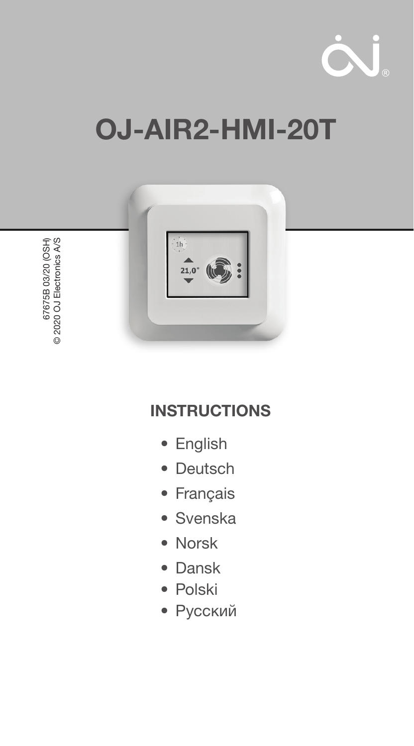

# OJ-AIR2-HMI-20T



# **INSTRUCTIONS**

- English
- Deutsch
- Français
- Svenska
- Norsk
- Dansk
- Polski
- Русский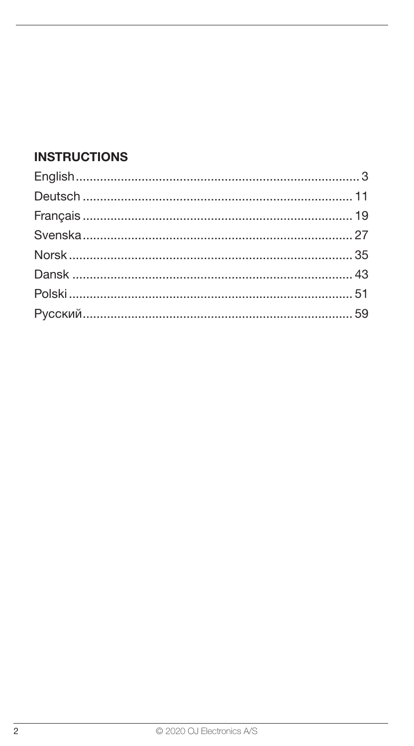#### **INSTRUCTIONS**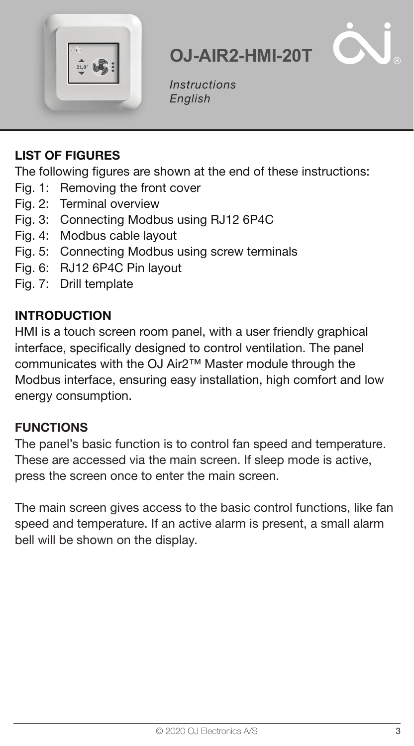

Instructions English

**OJ-AIR2-HMI-20T**

#### LIST OF FIGURES

The following figures are shown at the end of these instructions:

- Fig. 1: Removing the front cover
- Fig. 2: Terminal overview
- Fig. 3: Connecting Modbus using RJ12 6P4C
- Fig. 4: Modbus cable layout
- Fig. 5: Connecting Modbus using screw terminals
- Fig. 6: RJ12 6P4C Pin layout
- Fig. 7: Drill template

#### INTRODUCTION

HMI is a touch screen room panel, with a user friendly graphical interface, specifically designed to control ventilation. The panel communicates with the OJ Air2™ Master module through the Modbus interface, ensuring easy installation, high comfort and low energy consumption.

#### **FUNCTIONS**

The panel's basic function is to control fan speed and temperature. These are accessed via the main screen. If sleep mode is active, press the screen once to enter the main screen.

The main screen gives access to the basic control functions, like fan speed and temperature. If an active alarm is present, a small alarm bell will be shown on the display.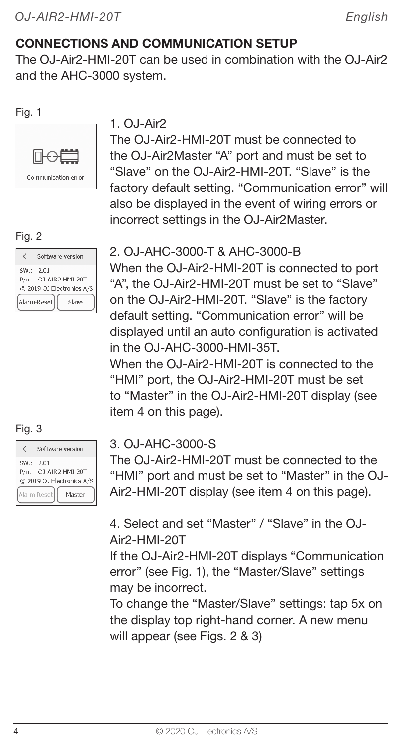#### CONNECTIONS AND COMMUNICATION SETUP

The OJ-Air2-HMI-20T can be used in combination with the OJ-Air2 and the AHC-3000 system.

#### Fig. 1



#### Fig. 2

|          | Software version                                                           |
|----------|----------------------------------------------------------------------------|
| SW: 2.01 | P/n.: OJ-AIR2-HMI-20T<br>@ 2019 OJ Electronics A/S<br>Alarm-Reset<br>Slave |

| Fig. 3    |             |                           |
|-----------|-------------|---------------------------|
| ✓         |             | Software version          |
| SW.: 2.01 |             |                           |
|           |             | P/n.: OJ-AIR2-HMI-20T     |
|           |             | @ 2019 OJ Electronics A/S |
|           | Alarm-Reset | Master                    |

#### $1$   $0.1-Air2$

The Q.I-Air2-HMI-20T must be connected to the OJ-Air2Master "A" port and must be set to "Slave" on the OJ-Air2-HMI-20T. "Slave" is the factory default setting. "Communication error" will also be displayed in the event of wiring errors or incorrect settings in the OJ-Air2Master.

#### 2. OJ-AHC-3000-T & AHC-3000-B

When the OJ-Air2-HMI-20T is connected to port "A", the OJ-Air2-HMI-20T must be set to "Slave" on the OJ-Air2-HMI-20T. "Slave" is the factory default setting. "Communication error" will be displayed until an auto configuration is activated in the OJ-AHC-3000-HMI-35T.

When the Q.I-Air2-HMI-20T is connected to the "HMI" port, the OJ-Air2-HMI-20T must be set to "Master" in the OJ-Air2-HMI-20T display (see item 4 on this page).

#### 3. OJ-AHC-3000-S

The OJ-Air2-HMI-20T must be connected to the "HMI" port and must be set to "Master" in the OJ-Air2-HMI-20T display (see item 4 on this page).

4. Select and set "Master" / "Slave" in the OJ-Air2-HMI-20T

If the OJ-Air2-HMI-20T displays "Communication error" (see Fig. 1), the "Master/Slave" settings may be incorrect.

To change the "Master/Slave" settings: tap 5x on the display top right-hand corner. A new menu will appear (see Figs. 2 & 3)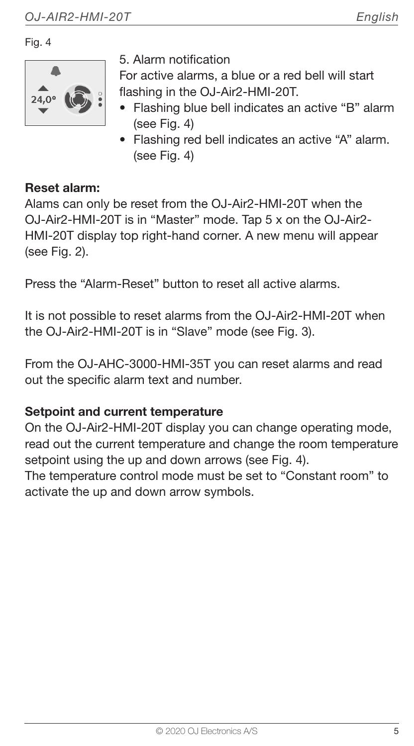Fig. 4



5. Alarm notification

For active alarms, a blue or a red bell will start flashing in the OJ-Air2-HMI-20T.

- Flashing blue bell indicates an active "B" alarm (see Fig. 4)
- Flashing red bell indicates an active "A" alarm. (see Fig. 4)

#### Reset alarm:

Alams can only be reset from the OJ-Air2-HMI-20T when the OJ-Air2-HMI-20T is in "Master" mode. Tap 5 x on the OJ-Air2- HMI-20T display top right-hand corner. A new menu will appear (see Fig. 2).

Press the "Alarm-Reset" button to reset all active alarms.

It is not possible to reset alarms from the OJ-Air2-HMI-20T when the OJ-Air2-HMI-20T is in "Slave" mode (see Fig. 3).

From the OJ-AHC-3000-HMI-35T you can reset alarms and read out the specific alarm text and number.

#### Setpoint and current temperature

On the OJ-Air2-HMI-20T display you can change operating mode, read out the current temperature and change the room temperature setpoint using the up and down arrows (see Fig. 4).

The temperature control mode must be set to "Constant room" to activate the up and down arrow symbols.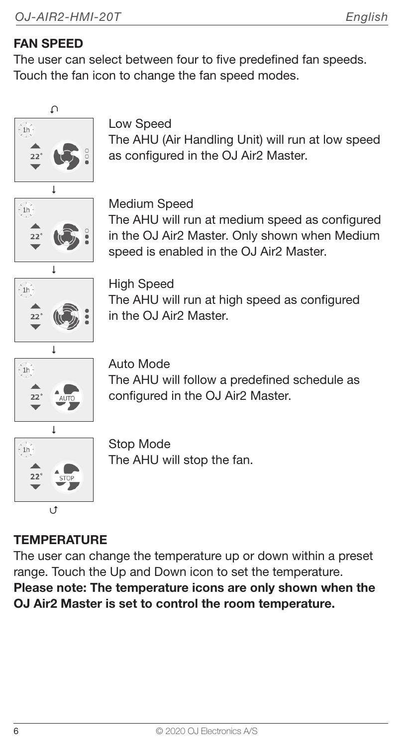#### FAN SPEED

The user can select between four to five predefined fan speeds. Touch the fan icon to change the fan speed modes.



Low Speed

The AHU (Air Handling Unit) will run at low speed as configured in the OJ Air2 Master.



Medium Speed

The AHU will run at medium speed as configured in the OJ Air2 Master. Only shown when Medium speed is enabled in the OJ Air2 Master.



High Speed The AHU will run at high speed as configured in the  $0.1$  Air $2$  Master.



Auto Mode The AHU will follow a predefined schedule as configured in the OJ Air2 Master.



Stop Mode The AHU will stop the fan.

### **TEMPERATURE**

The user can change the temperature up or down within a preset range. Touch the Up and Down icon to set the temperature. Please note: The temperature icons are only shown when the OJ Air2 Master is set to control the room temperature.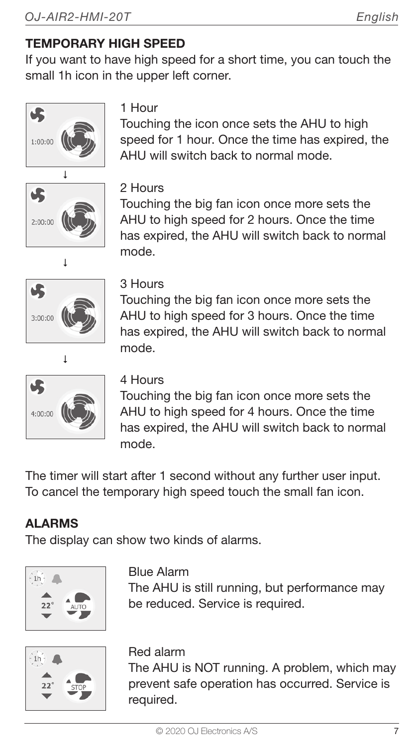#### TEMPORARY HIGH SPEED

If you want to have high speed for a short time, you can touch the small 1h icon in the upper left corner.





1 Hour

Touching the icon once sets the AHU to high speed for 1 hour. Once the time has expired, the AHU will switch back to normal mode.



Touching the big fan icon once more sets the AHU to high speed for 2 hours. Once the time has expired, the AHU will switch back to normal mode.



#### 3 Hours

Touching the big fan icon once more sets the AHU to high speed for 3 hours. Once the time has expired, the AHU will switch back to normal  $\overline{\phantom{a}}$  mode.



#### 4 Hours

Touching the big fan icon once more sets the AHU to high speed for 4 hours. Once the time has expired, the AHU will switch back to normal mode.

The timer will start after 1 second without any further user input. To cancel the temporary high speed touch the small fan icon.

#### ALARMS

The display can show two kinds of alarms.



#### Blue Alarm

The AHU is still running, but performance may be reduced. Service is required.



#### Red alarm

The AHU is NOT running. A problem, which may prevent safe operation has occurred. Service is required.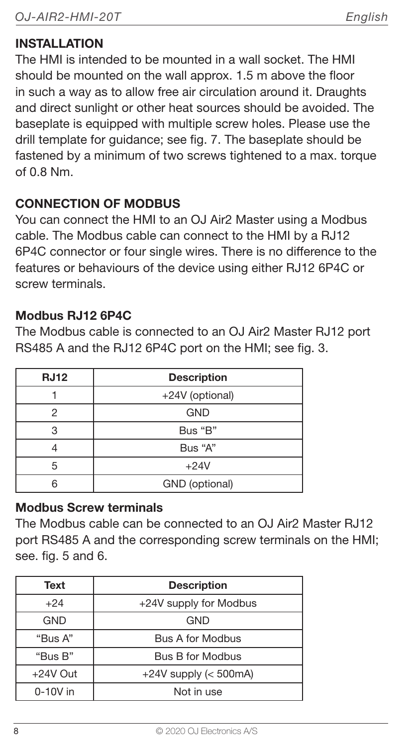#### **INSTALLATION**

The HMI is intended to be mounted in a wall socket. The HMI should be mounted on the wall approx. 1.5 m above the floor in such a way as to allow free air circulation around it. Draughts and direct sunlight or other heat sources should be avoided. The baseplate is equipped with multiple screw holes. Please use the drill template for guidance; see fig. 7. The baseplate should be fastened by a minimum of two screws tightened to a max, torque of 0.8 Nm.

#### CONNECTION OF MODBUS

You can connect the HMI to an OJ Air2 Master using a Modbus cable. The Modbus cable can connect to the HMI by a RJ12 6P4C connector or four single wires. There is no difference to the features or behaviours of the device using either RJ12 6P4C or screw terminals.

#### Modbus RJ12 6P4C

The Modbus cable is connected to an OJ Air2 Master RJ12 port RS485 A and the RJ12 6P4C port on the HMI; see fig. 3.

| <b>RJ12</b> | <b>Description</b> |
|-------------|--------------------|
|             | +24V (optional)    |
| 2           | <b>GND</b>         |
|             | Bus "B"            |
|             | Bus "A"            |
| 5           | $+24V$             |
|             | GND (optional)     |

#### Modbus Screw terminals

The Modbus cable can be connected to an OJ Air2 Master RJ12 port RS485 A and the corresponding screw terminals on the HMI; see. fig. 5 and 6.

| Text       | <b>Description</b>         |
|------------|----------------------------|
| $+24$      | +24V supply for Modbus     |
| <b>GND</b> | GND                        |
| "Bus A"    | <b>Bus A for Modbus</b>    |
| "Bus B"    | Bus B for Modbus           |
| $+24V$ Out | $+24V$ supply ( $<$ 500mA) |
| $0-10V$ in | Not in use                 |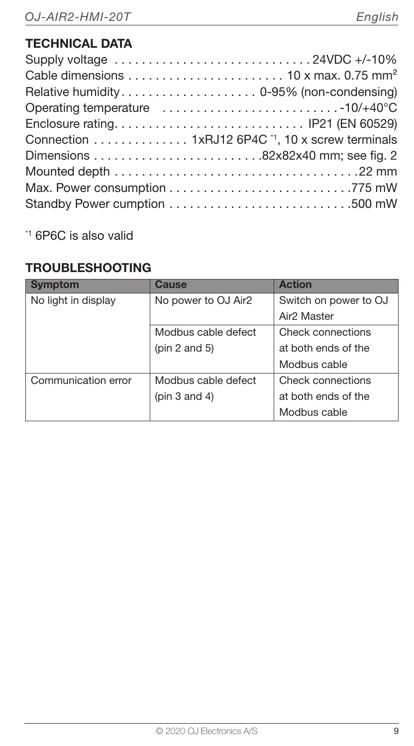#### TECHNICAL DATA

| Supply voltage 24VDC +/-10%                                                           |  |
|---------------------------------------------------------------------------------------|--|
| Cable dimensions $\dots\dots\dots\dots\dots\dots\dots$ 10 x max. 0.75 mm <sup>2</sup> |  |
|                                                                                       |  |
|                                                                                       |  |
|                                                                                       |  |
| Connection 1xRJ12 6P4C <sup>1</sup> , 10 x screw terminals                            |  |
|                                                                                       |  |
|                                                                                       |  |
|                                                                                       |  |
|                                                                                       |  |

\*1 6P6C is also valid

#### TROUBLESHOOTING

| <b>Symptom</b>      | Cause               | <b>Action</b>           |
|---------------------|---------------------|-------------------------|
| No light in display | No power to OJ Air2 | Switch on power to OJ   |
|                     |                     | Air <sub>2</sub> Master |
|                     | Modbus cable defect | Check connections       |
|                     | ( $pin 2$ and $5$ ) | at both ends of the     |
|                     |                     | Modbus cable            |
| Communication error | Modbus cable defect | Check connections       |
|                     | (pin $3$ and $4$ )  | at both ends of the     |
|                     |                     | Modbus cable            |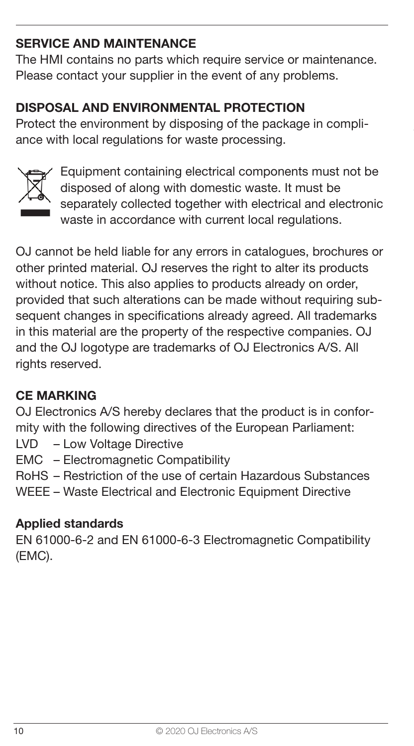#### SERVICE AND MAINTENANCE

The HMI contains no parts which require service or maintenance. Please contact your supplier in the event of any problems.

#### DISPOSAL AND ENVIRONMENTAL PROTECTION

Protect the environment by disposing of the package in compliance with local regulations for waste processing.



Equipment containing electrical components must not be disposed of along with domestic waste. It must be separately collected together with electrical and electronic waste in accordance with current local regulations.

OJ cannot be held liable for any errors in catalogues, brochures or other printed material. OJ reserves the right to alter its products without notice. This also applies to products already on order, provided that such alterations can be made without requiring subsequent changes in specifications already agreed. All trademarks in this material are the property of the respective companies. OJ and the OJ logotype are trademarks of OJ Electronics A/S. All rights reserved.

#### CE MARKING

OJ Electronics A/S hereby declares that the product is in conformity with the following directives of the European Parliament:

- LVD Low Voltage Directive
- EMC Electromagnetic Compatibility
- RoHS Restriction of the use of certain Hazardous Substances
- WEEE Waste Electrical and Electronic Equipment Directive

#### Applied standards

EN 61000-6-2 and EN 61000-6-3 Electromagnetic Compatibility (EMC).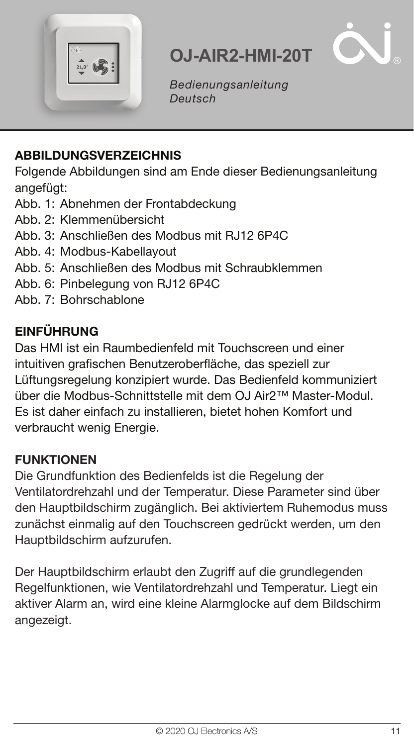



Bedienungsanleitung Deutsch

#### ABBILDUNGSVERZEICHNIS

Folgende Abbildungen sind am Ende dieser Bedienungsanleitung angefügt:

- Abb. 1: Abnehmen der Frontabdeckung
- Abb. 2: Klemmenübersicht
- Abb. 3: Anschließen des Modbus mit RJ12 6P4C
- Abb. 4: Modbus-Kabellayout
- Abb. 5: Anschließen des Modbus mit Schraubklemmen
- Abb. 6: Pinbelegung von RJ12 6P4C
- Abb. 7: Bohrschablone

#### EINFÜHRUNG

Das HMI ist ein Raumbedienfeld mit Touchscreen und einer intuitiven grafischen Benutzeroberfläche, das speziell zur Lüftungsregelung konzipiert wurde. Das Bedienfeld kommuniziert über die Modbus-Schnittstelle mit dem OJ Air2™ Master-Modul. Es ist daher einfach zu installieren, bietet hohen Komfort und verbraucht wenig Energie.

#### **FUNKTIONEN**

Die Grundfunktion des Bedienfelds ist die Regelung der Ventilatordrehzahl und der Temperatur. Diese Parameter sind über den Hauptbildschirm zugänglich. Bei aktiviertem Ruhemodus muss zunächst einmalig auf den Touchscreen gedrückt werden, um den Hauptbildschirm aufzurufen.

Der Hauptbildschirm erlaubt den Zugriff auf die grundlegenden Regelfunktionen, wie Ventilatordrehzahl und Temperatur. Liegt ein aktiver Alarm an, wird eine kleine Alarmglocke auf dem Bildschirm angezeigt.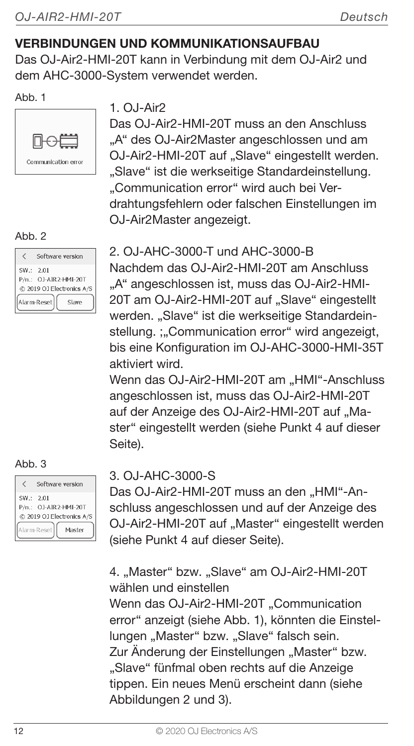#### VERBINDUNGEN UND KOMMUNIKATIONSAUFBAU

Das OJ-Air2-HMI-20T kann in Verbindung mit dem OJ-Air2 und dem AHC-3000-System verwendet werden.

#### $Ahh$  1



#### Ahh 2

|            | Software version                                   |
|------------|----------------------------------------------------|
| SW .: 2.01 | P/n.: 0J-AIR2-HMI-20T<br>@ 2019 OJ Electronics A/S |
|            | Alarm-Reset<br>Slave                               |

#### $Abh.3$

|          | Software version                                   |
|----------|----------------------------------------------------|
| SW: 2.01 | P/n.: OJ-AIR2-HMI-20T<br>@ 2019 OJ Electronics A/S |
|          | Alarm-Reset<br>Master                              |

#### $1.0.1-Air2$

Das OJ-Air2-HMI-20T muss an den Anschluss "A" des OJ-Air2Master angeschlossen und am OJ-Air2-HMI-20T auf "Slave" eingestellt werden. "Slave" ist die werkseitige Standardeinstellung. ..Communication error" wird auch bei Verdrahtungsfehlern oder falschen Einstellungen im OJ-Air2Master angezeigt.

#### 2. OJ-AHC-3000-T und AHC-3000-B

Nachdem das OJ-Air2-HMI-20T am Anschluss "A" angeschlossen ist, muss das OJ-Air2-HMI-20T am OJ-Air2-HMI-20T auf "Slave" eingestellt werden. "Slave" ist die werkseitige Standardeinstellung. :..Communication error" wird angezeigt, bis eine Konfiguration im OJ-AHC-3000-HMI-35T aktiviert wird.

Wenn das OJ-Air2-HMI-20T am "HMI"-Anschluss angeschlossen ist, muss das OJ-Air2-HMI-20T auf der Anzeige des OJ-Air2-HMI-20T auf "Master" eingestellt werden (siehe Punkt 4 auf dieser Seite).

#### 3. OJ-AHC-3000-S

Das OJ-Air2-HMI-20T muss an den "HMI"-Anschluss angeschlossen und auf der Anzeige des OJ-Air2-HMI-20T auf "Master" eingestellt werden (siehe Punkt 4 auf dieser Seite).

4. "Master" bzw. "Slave" am OJ-Air2-HMI-20T wählen und einstellen

Wenn das OJ-Air2-HMI-20T "Communication error" anzeigt (siehe Abb. 1), könnten die Einstellungen "Master" bzw. "Slave" falsch sein. Zur Änderung der Einstellungen "Master" bzw. "Slave" fünfmal oben rechts auf die Anzeige tippen. Ein neues Menü erscheint dann (siehe Abbildungen 2 und 3).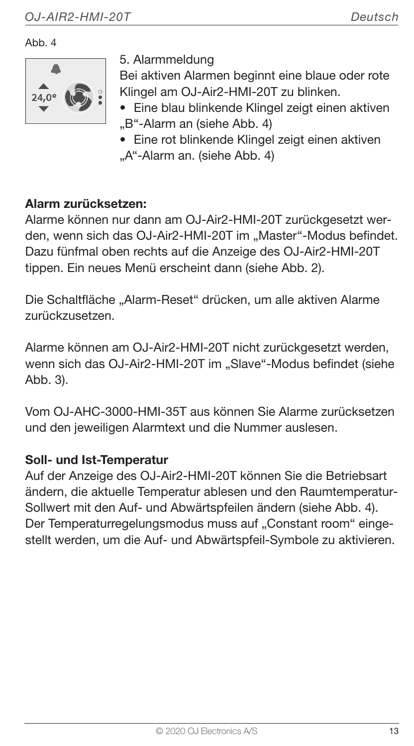Ahh 4



5. Alarmmeldung

Bei aktiven Alarmen beginnt eine blaue oder rote Klingel am OJ-Air2-HMI-20T zu blinken.

- Eine blau blinkende Klingel zeigt einen aktiven
- "B"-Alarm an (siehe Abb. 4)
- Eine rot blinkende Klingel zeigt einen aktiven ..A"-Alarm an. (siehe Abb. 4)

#### Alarm zurücksetzen:

Alarme können nur dann am OJ-Air2-HMI-20T zurückgesetzt werden, wenn sich das OJ-Air2-HMI-20T im "Master"-Modus befindet. Dazu fünfmal oben rechts auf die Anzeige des OJ-Air2-HMI-20T tippen. Ein neues Menü erscheint dann (siehe Abb. 2).

Die Schaltfläche "Alarm-Reset" drücken, um alle aktiven Alarme zurückzusetzen.

Alarme können am OJ-Air2-HMI-20T nicht zurückgesetzt werden. wenn sich das OJ-Air2-HMI-20T im "Slave"-Modus befindet (siehe Abb. 3).

Vom OJ-AHC-3000-HMI-35T aus können Sie Alarme zurücksetzen und den jeweiligen Alarmtext und die Nummer auslesen.

#### Soll- und Ist-Temperatur

Auf der Anzeige des OJ-Air2-HMI-20T können Sie die Betriebsart ändern, die aktuelle Temperatur ablesen und den Raumtemperatur-Sollwert mit den Auf- und Abwärtspfeilen ändern (siehe Abb. 4). Der Temperaturregelungsmodus muss auf "Constant room" eingestellt werden, um die Auf- und Abwärtspfeil-Symbole zu aktivieren.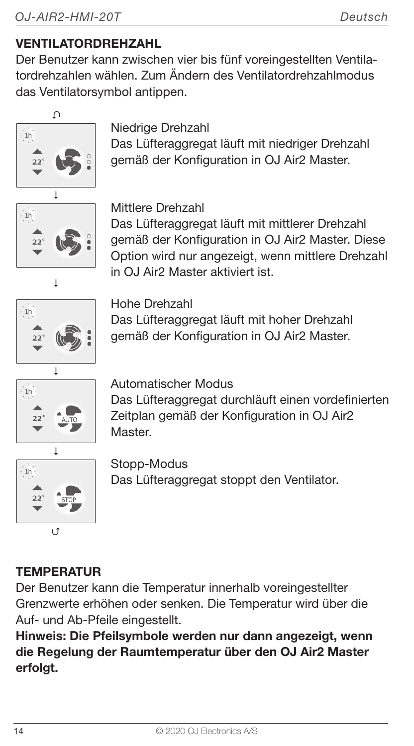#### VENTILATORDREHZAHL

Der Benutzer kann zwischen vier bis fünf voreingestellten Ventilatordrehzahlen wählen. Zum Ändern des Ventilatordrehzahlmodus das Ventilatorsymbol antippen.





#### Niedrige Drehzahl

Das Lüfteraggregat läuft mit niedriger Drehzahl gemäß der Konfiguration in OJ Air2 Master.



#### Mittlere Drehzahl

Das Lüfteraggregat läuft mit mittlerer Drehzahl gemäß der Konfiguration in OJ Air2 Master. Diese Option wird nur angezeigt, wenn mittlere Drehzahl in OJ Air2 Master aktiviert ist.



Hohe Drehzahl Das Lüfteraggregat läuft mit hoher Drehzahl gemäß der Konfiguration in OJ Air2 Master.



Automatischer Modus

Das Lüfteraggregat durchläuft einen vordefinierten Zeitplan gemäß der Konfiguration in OJ Air2 Master.



Stopp-Modus Das Lüfteraggregat stoppt den Ventilator.

# **TEMPERATUR**

Der Benutzer kann die Temperatur innerhalb voreingestellter Grenzwerte erhöhen oder senken. Die Temperatur wird über die Auf- und Ab-Pfeile eingestellt.

Hinweis: Die Pfeilsymbole werden nur dann angezeigt, wenn die Regelung der Raumtemperatur über den OJ Air2 Master erfolgt.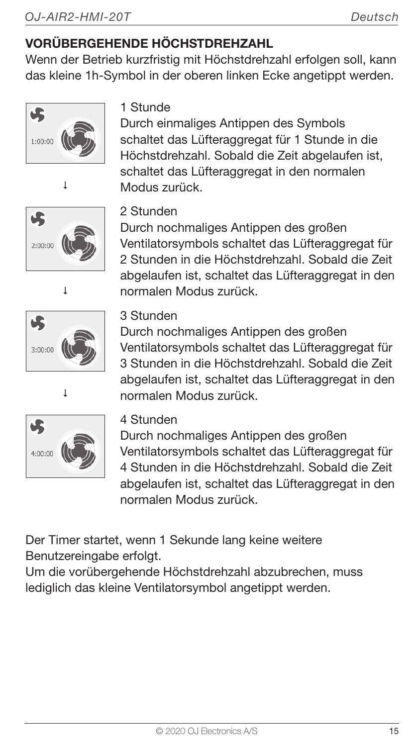#### VORÜBERGEHENDE HÖCHSTDREHZAHL

Wenn der Betrieb kurzfristig mit Höchstdrehzahl erfolgen soll, kann das kleine 1h-Symbol in der oberen linken Ecke angetippt werden.





Durch einmaliges Antippen des Symbols schaltet das Lüfteraggregat für 1 Stunde in die Höchstdrehzahl. Sobald die Zeit abgelaufen ist, schaltet das Lüfteraggregat in den normalen Modus zurück.







#### 2 Stunden

Durch nochmaliges Antippen des großen Ventilatorsymbols schaltet das Lüfteraggregat für 2 Stunden in die Höchstdrehzahl. Sobald die Zeit abgelaufen ist, schaltet das Lüfteraggregat in den normalen Modus zurück.



Durch nochmaliges Antippen des großen Ventilatorsymbols schaltet das Lüfteraggregat für 3 Stunden in die Höchstdrehzahl. Sobald die Zeit abgelaufen ist, schaltet das Lüfteraggregat in den normalen Modus zurück.



#### 4 Stunden

Durch nochmaliges Antippen des großen Ventilatorsymbols schaltet das Lüfteraggregat für 4 Stunden in die Höchstdrehzahl. Sobald die Zeit abgelaufen ist, schaltet das Lüfteraggregat in den normalen Modus zurück.

Der Timer startet, wenn 1 Sekunde lang keine weitere Benutzereingabe erfolgt.

Um die vorübergehende Höchstdrehzahl abzubrechen, muss lediglich das kleine Ventilatorsymbol angetippt werden.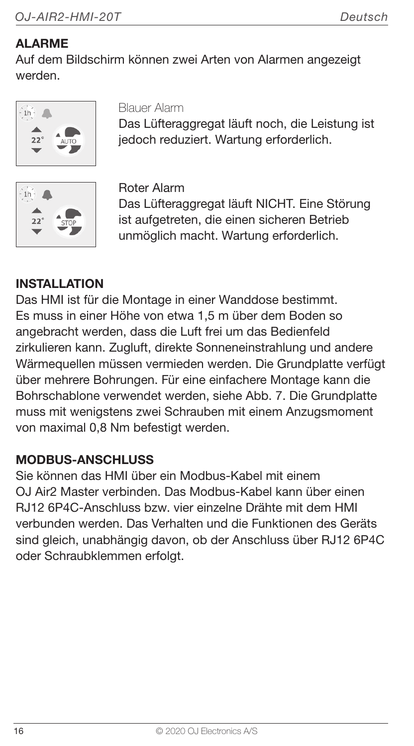#### ALARME

Auf dem Bildschirm können zwei Arten von Alarmen angezeigt werden.



#### Blauer Alarm

Das Lüfteraggregat läuft noch, die Leistung ist jedoch reduziert. Wartung erforderlich.



Roter Alarm

Das Lüfteraggregat läuft NICHT. Eine Störung ist aufgetreten, die einen sicheren Betrieb unmöglich macht. Wartung erforderlich.

#### **INSTALLATION**

Das HMI ist für die Montage in einer Wanddose bestimmt. Es muss in einer Höhe von etwa 1,5 m über dem Boden so angebracht werden, dass die Luft frei um das Bedienfeld zirkulieren kann. Zugluft, direkte Sonneneinstrahlung und andere Wärmequellen müssen vermieden werden. Die Grundplatte verfügt über mehrere Bohrungen. Für eine einfachere Montage kann die Bohrschablone verwendet werden, siehe Abb. 7. Die Grundplatte muss mit wenigstens zwei Schrauben mit einem Anzugsmoment von maximal 0,8 Nm befestigt werden.

#### MODBUS-ANSCHLUSS

Sie können das HMI über ein Modbus-Kabel mit einem OJ Air2 Master verbinden. Das Modbus-Kabel kann über einen RJ12 6P4C-Anschluss bzw. vier einzelne Drähte mit dem HMI verbunden werden. Das Verhalten und die Funktionen des Geräts sind gleich, unabhängig davon, ob der Anschluss über RJ12 6P4C oder Schraubklemmen erfolgt.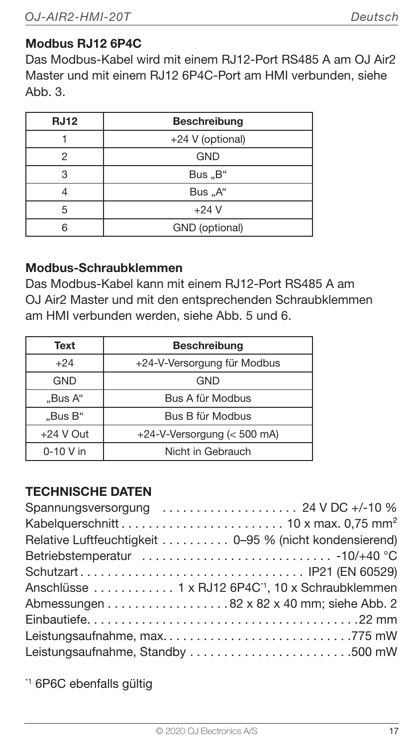#### Modbus RJ12 6P4C

Das Modbus-Kabel wird mit einem RJ12-Port RS485 A am OJ Air2 Master und mit einem RJ12 6P4C-Port am HMI verbunden, siehe Abb $\beta$ 

| <b>RJ12</b> | Beschreibung     |
|-------------|------------------|
|             | +24 V (optional) |
| 2           | <b>GND</b>       |
| З           | Bus "B"          |
|             | Bus "A"          |
| 5           | $+24V$           |
|             | GND (optional)   |

#### Modbus-Schraubklemmen

Das Modbus-Kabel kann mit einem RJ12-Port RS485 A am OJ Air2 Master und mit den entsprechenden Schraubklemmen am HMI verbunden werden, siehe Abb. 5 und 6.

| Text        | <b>Beschreibung</b>         |
|-------------|-----------------------------|
| $+24$       | +24-V-Versorgung für Modbus |
| <b>GND</b>  | GND                         |
| "Bus A"     | Bus A für Modbus            |
| "Bus B"     | Bus B für Modbus            |
| $+24$ V Out | +24-V-Versorgung (< 500 mA) |
| $0-10$ V in | Nicht in Gebrauch           |

#### TECHNISCHE DATEN

| Spannungsversorgung  24 V DC +/-10 %                          |  |
|---------------------------------------------------------------|--|
|                                                               |  |
| Relative Luftfeuchtigkeit 0-95 % (nicht kondensierend)        |  |
|                                                               |  |
|                                                               |  |
| Anschlüsse  1 x RJ12 6P4C <sup>-1</sup> , 10 x Schraubklemmen |  |
|                                                               |  |
|                                                               |  |
|                                                               |  |
| Leistungsaufnahme, Standby 500 mW                             |  |
|                                                               |  |

\*1 6P6C ebenfalls gültig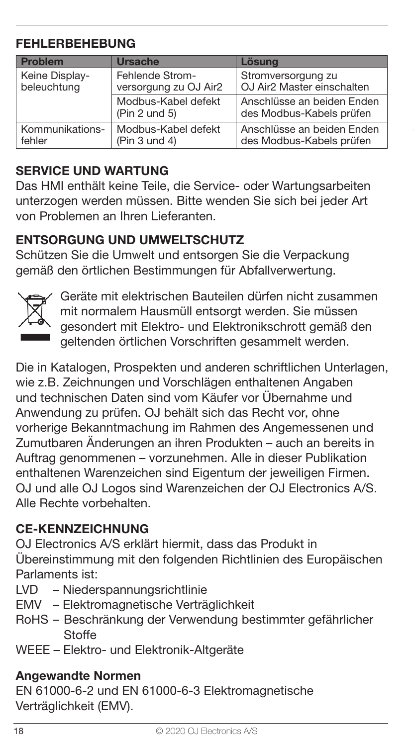#### FEHLERBEHEBUNG

| Problem         | Ursache                              | <b>Lösung</b>                                          |
|-----------------|--------------------------------------|--------------------------------------------------------|
| Keine Display-  | Fehlende Strom-                      | Stromversorgung zu                                     |
| beleuchtung     | versorgung zu OJ Air2                | OJ Air2 Master einschalten                             |
|                 | Modbus-Kabel defekt<br>(Pin 2 und 5) | Anschlüsse an beiden Enden<br>des Modbus-Kabels prüfen |
| Kommunikations- | Modbus-Kabel defekt                  | Anschlüsse an beiden Enden                             |
| fehler          | (Pin 3 und 4)                        | des Modbus-Kabels prüfen                               |

#### SERVICE UND WARTUNG

Das HMI enthält keine Teile, die Service- oder Wartungsarbeiten unterzogen werden müssen. Bitte wenden Sie sich bei jeder Art von Problemen an Ihren Lieferanten.

#### ENTSORGUNG UND UMWELTSCHUTZ

Schützen Sie die Umwelt und entsorgen Sie die Verpackung gemäß den örtlichen Bestimmungen für Abfallverwertung.



Geräte mit elektrischen Bauteilen dürfen nicht zusammen mit normalem Hausmüll entsorgt werden. Sie müssen gesondert mit Elektro- und Elektronikschrott gemäß den geltenden örtlichen Vorschriften gesammelt werden.

Die in Katalogen, Prospekten und anderen schriftlichen Unterlagen, wie z.B. Zeichnungen und Vorschlägen enthaltenen Angaben und technischen Daten sind vom Käufer vor Übernahme und Anwendung zu prüfen. OJ behält sich das Recht vor, ohne vorherige Bekanntmachung im Rahmen des Angemessenen und Zumutbaren Änderungen an ihren Produkten – auch an bereits in Auftrag genommenen – vorzunehmen. Alle in dieser Publikation enthaltenen Warenzeichen sind Eigentum der jeweiligen Firmen. OJ und alle OJ Logos sind Warenzeichen der OJ Electronics A/S. Alle Rechte vorbehalten.

#### CE-KENNZEICHNUNG

OJ Electronics A/S erklärt hiermit, dass das Produkt in Übereinstimmung mit den folgenden Richtlinien des Europäischen Parlaments ist:

- LVD Niederspannungsrichtlinie
- EMV Elektromagnetische Verträglichkeit
- RoHS Beschränkung der Verwendung bestimmter gefährlicher **Stoffe**
- WEEE Elektro- und Elektronik-Altgeräte

#### Angewandte Normen

EN 61000-6-2 und EN 61000-6-3 Elektromagnetische Verträglichkeit (EMV).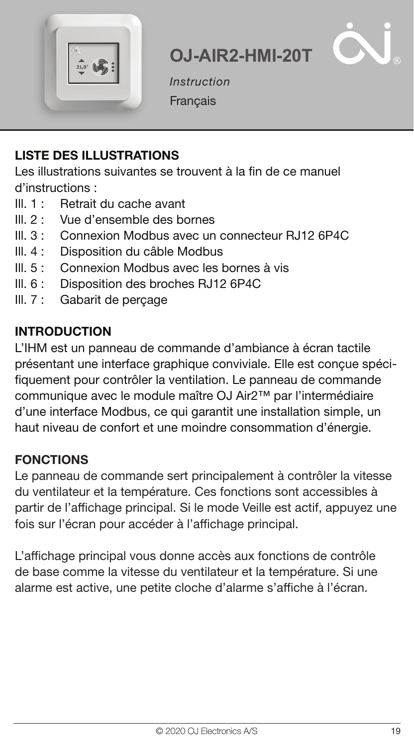



Instruction **Francais** 

#### LISTE DES ILLUSTRATIONS

Les illustrations suivantes se trouvent à la fin de ce manuel d'instructions :

- III. 1 : Retrait du cache avant<br>III. 2 : Vue d'ensemble des bo
- Ill. 2 : Vue d'ensemble des bornes
- Ill. 3 : Connexion Modbus avec un connecteur RJ12 6P4C
- Ill. 4 : Disposition du câble Modbus
- Ill. 5 : Connexion Modbus avec les bornes à vis
- Ill. 6 : Disposition des broches RJ12 6P4C
- Ill. 7 : Gabarit de perçage

#### INTRODUCTION

L'IHM est un panneau de commande d'ambiance à écran tactile présentant une interface graphique conviviale. Elle est conçue spécifiquement pour contrôler la ventilation. Le panneau de commande communique avec le module maître OJ Air2™ par l'intermédiaire d'une interface Modbus, ce qui garantit une installation simple, un haut niveau de confort et une moindre consommation d'énergie.

#### **FONCTIONS**

Le panneau de commande sert principalement à contrôler la vitesse du ventilateur et la température. Ces fonctions sont accessibles à partir de l'affichage principal. Si le mode Veille est actif, appuyez une fois sur l'écran pour accéder à l'affichage principal.

L'affichage principal vous donne accès aux fonctions de contrôle de base comme la vitesse du ventilateur et la température. Si une alarme est active, une petite cloche d'alarme s'affiche à l'écran.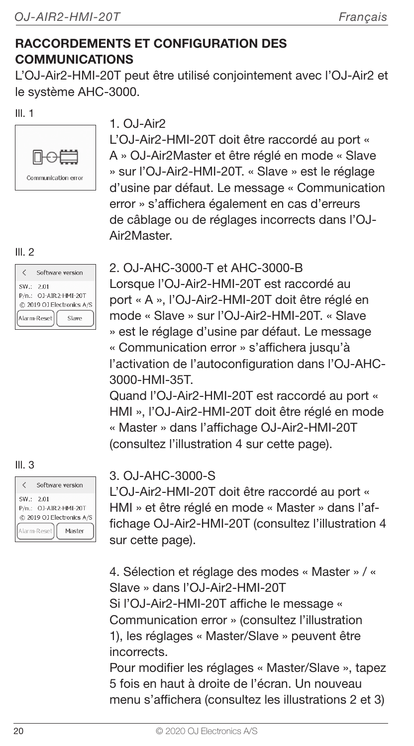#### RACCORDEMENTS ET CONFIGURATION DES COMMUNICATIONS

L'OJ-Air2-HMI-20T peut être utilisé conjointement avec l'OJ-Air2 et le système AHC-3000.

#### $III.1$



#### $1.0.1-Air2$

L'OJ-Air2-HMI-20T doit être raccordé au port « A » OJ-Air2Master et être réglé en mode « Slave » sur l'OJ-Air2-HMI-20T. « Slave » est le réglage d'usine par défaut. Le message « Communication error » s'affichera également en cas d'erreurs de câblage ou de réglages incorrects dans l'OJ-Air2Master.

#### $III.2$

|            | Software version                                                           |
|------------|----------------------------------------------------------------------------|
| SW .: 2.01 | P/n.: OJ-AIR2-HMI-20T<br>@ 2019 OJ Electronics A/S<br>Alarm-Reset<br>Slave |

#### $III.3$

|            | Software version                                   |
|------------|----------------------------------------------------|
| SW .: 2.01 | P/n.: OJ-AIR2-HMI-20T<br>@ 2019 OJ Electronics A/S |
|            | Alarm-Reset<br>Masher                              |

#### 2. OJ-AHC-3000-T et AHC-3000-B

Lorsque l'OJ-Air2-HMI-20T est raccordé au port « A », l'OJ-Air2-HMI-20T doit être réglé en mode « Slave » sur l'OJ-Air2-HMI-20T. « Slave » est le réglage d'usine par défaut. Le message « Communication error » s'affichera jusqu'à l'activation de l'autoconfiguration dans l'OJ-AHC-3000-HMI-35T.

Quand l'OJ-Air2-HMI-20T est raccordé au port « HMI », l'OJ-Air2-HMI-20T doit être réglé en mode « Master » dans l'affichage OJ-Air2-HMI-20T (consultez l'illustration 4 sur cette page).

#### 3. OJ-AHC-3000-S

L'OJ-Air2-HMI-20T doit être raccordé au port « HMI » et être réglé en mode « Master » dans l'affichage OJ-Air2-HMI-20T (consultez l'illustration 4 sur cette page).

4. Sélection et réglage des modes « Master » / « Slave » dans l'OJ-Air2-HMI-20T Si l'OJ-Air2-HMI-20T affiche le message « Communication error » (consultez l'illustration 1), les réglages « Master/Slave » peuvent être incorrects.

Pour modifier les réglages « Master/Slave », tapez 5 fois en haut à droite de l'écran. Un nouveau menu s'affichera (consultez les illustrations 2 et 3)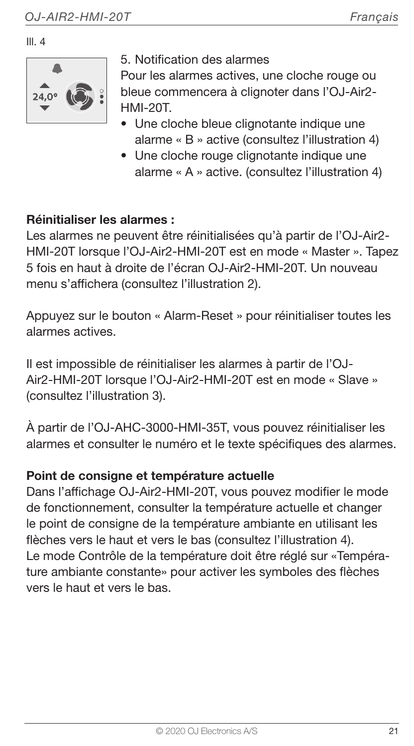Ill. 4



5. Notification des alarmes

Pour les alarmes actives, une cloche rouge ou bleue commencera à clignoter dans l'OJ-Air2- HMI-20T.

- Une cloche bleue clignotante indique une alarme « B » active (consultez l'illustration 4)
- Une cloche rouge clignotante indique une alarme « A » active. (consultez l'illustration 4)

#### Réinitialiser les alarmes :

Les alarmes ne peuvent être réinitialisées qu'à partir de l'OJ-Air2- HMI-20T lorsque l'OJ-Air2-HMI-20T est en mode « Master ». Tapez 5 fois en haut à droite de l'écran OJ-Air2-HMI-20T. Un nouveau menu s'affichera (consultez l'illustration 2).

Appuyez sur le bouton « Alarm-Reset » pour réinitialiser toutes les alarmes actives.

Il est impossible de réinitialiser les alarmes à partir de l'OJ-Air2-HMI-20T lorsque l'OJ-Air2-HMI-20T est en mode « Slave » (consultez l'illustration 3).

À partir de l'OJ-AHC-3000-HMI-35T, vous pouvez réinitialiser les alarmes et consulter le numéro et le texte spécifiques des alarmes.

#### Point de consigne et température actuelle

Dans l'affichage OJ-Air2-HMI-20T, vous pouvez modifier le mode de fonctionnement, consulter la température actuelle et changer le point de consigne de la température ambiante en utilisant les flèches vers le haut et vers le bas (consultez l'illustration 4). Le mode Contrôle de la température doit être réglé sur «Température ambiante constante» pour activer les symboles des flèches vers le haut et vers le bas.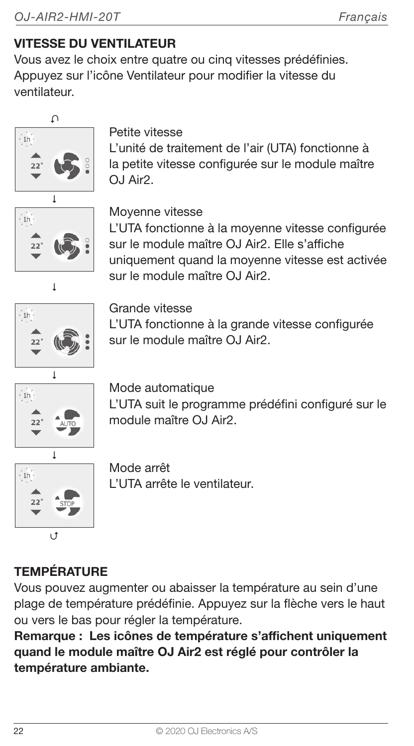#### VITESSE DU VENTILATEUR

Vous avez le choix entre quatre ou cinq vitesses prédéfinies. Appuyez sur l'icône Ventilateur pour modifier la vitesse du ventilateur.



Petite vitesse

L'unité de traitement de l'air (UTA) fonctionne à la petite vitesse configurée sur le module maître  $O.I Air2$ 



Moyenne vitesse

L'UTA fonctionne à la moyenne vitesse configurée sur le module maître OJ Air2. Elle s'affiche uniquement quand la moyenne vitesse est activée  $\overline{\phantom{a}}$  sur le module maître OJ Air2.



Grande vitesse L'UTA fonctionne à la grande vitesse configurée sur le module maître OJ Air2.



Mode automatique L'UTA suit le programme prédéfini configuré sur le module maître OJ Air2.



Mode arrêt L'UTA arrête le ventilateur.

# **TEMPÉRATURE**

Vous pouvez augmenter ou abaisser la température au sein d'une plage de température prédéfinie. Appuyez sur la flèche vers le haut ou vers le bas pour régler la température.

Remarque : Les icônes de température s'affichent uniquement quand le module maître OJ Air2 est réglé pour contrôler la température ambiante.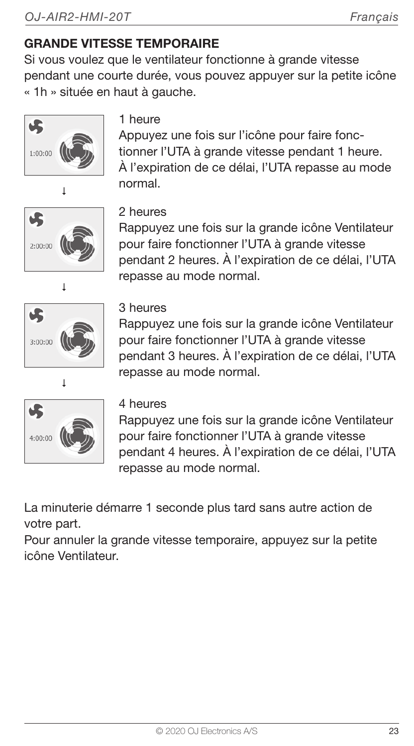# GRANDE VITESSE TEMPORAIRE

Si vous voulez que le ventilateur fonctionne à grande vitesse pendant une courte durée, vous pouvez appuyer sur la petite icône « 1h » située en haut à gauche.



#### 1 heure

Appuyez une fois sur l'icône pour faire fonctionner l'UTA à grande vitesse pendant 1 heure. À l'expiration de ce délai, l'UTA repasse au mode normal.



#### 2 heures

Rappuyez une fois sur la grande icône Ventilateur pour faire fonctionner l'UTA à grande vitesse pendant 2 heures. À l'expiration de ce délai, l'UTA repasse au mode normal.



#### 3 heures

Rappuyez une fois sur la grande icône Ventilateur pour faire fonctionner l'UTA à grande vitesse pendant 3 heures. À l'expiration de ce délai, l'UTA repasse au mode normal.



#### 4 heures

Rappuyez une fois sur la grande icône Ventilateur pour faire fonctionner l'UTA à grande vitesse pendant 4 heures. À l'expiration de ce délai, l'UTA repasse au mode normal.

La minuterie démarre 1 seconde plus tard sans autre action de votre part.

Pour annuler la grande vitesse temporaire, appuyez sur la petite icône Ventilateur.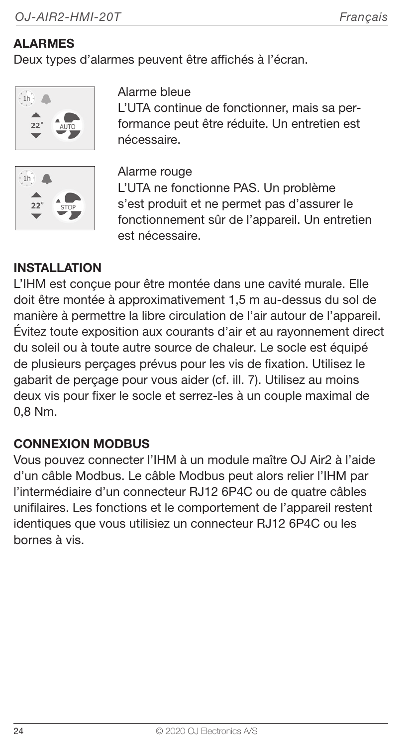#### ALARMES

Deux types d'alarmes peuvent être affichés à l'écran.





#### Alarme bleue

L'UTA continue de fonctionner, mais sa performance peut être réduite. Un entretien est nécessaire.

Alarme rouge

L'UTA ne fonctionne PAS. Un problème s'est produit et ne permet pas d'assurer le fonctionnement sûr de l'appareil. Un entretien est nécessaire.

#### **INSTALLATION**

L'IHM est conçue pour être montée dans une cavité murale. Elle doit être montée à approximativement 1,5 m au-dessus du sol de manière à permettre la libre circulation de l'air autour de l'appareil. Évitez toute exposition aux courants d'air et au rayonnement direct du soleil ou à toute autre source de chaleur. Le socle est équipé de plusieurs perçages prévus pour les vis de fixation. Utilisez le gabarit de perçage pour vous aider (cf. ill. 7). Utilisez au moins deux vis pour fixer le socle et serrez-les à un couple maximal de 0,8 Nm.

#### CONNEXION MODBUS

Vous pouvez connecter l'IHM à un module maître OJ Air2 à l'aide d'un câble Modbus. Le câble Modbus peut alors relier l'IHM par l'intermédiaire d'un connecteur RJ12 6P4C ou de quatre câbles unifilaires. Les fonctions et le comportement de l'appareil restent identiques que vous utilisiez un connecteur RJ12 6P4C ou les bornes à vis.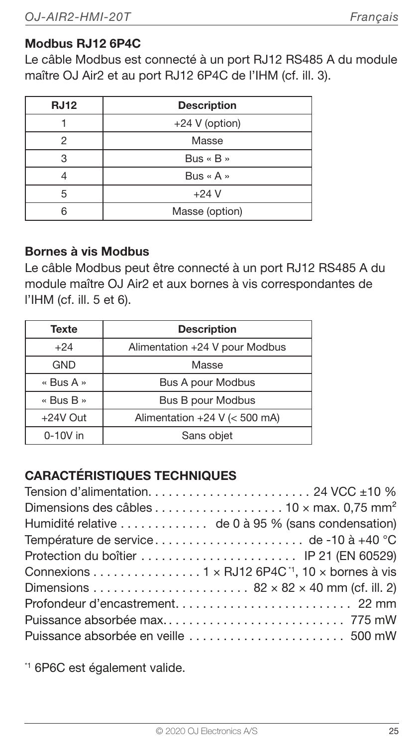#### Modbus RJ12 6P4C

Le câble Modbus est connecté à un port RJ12 RS485 A du module maître OJ Air2 et au port RJ12 6P4C de l'IHM (cf. ill. 3).

| <b>RJ12</b> | <b>Description</b>      |
|-------------|-------------------------|
|             | +24 V (option)          |
|             | Masse                   |
|             | $Bus \times B \times$   |
|             | Bus $\kappa$ A $\kappa$ |
| 5           | $+24V$                  |
|             | Masse (option)          |

#### Bornes à vis Modbus

Le câble Modbus peut être connecté à un port RJ12 RS485 A du module maître OJ Air2 et aux bornes à vis correspondantes de l'IHM (cf. ill. 5 et 6).

| Texte            | <b>Description</b>             |
|------------------|--------------------------------|
| $+24$            | Alimentation +24 V pour Modbus |
| GND              | Masse                          |
| « Bus A »        | Bus A pour Modbus              |
| « Bus $B \times$ | Bus B pour Modbus              |
| $+24V$ Out       | Alimentation +24 V (< 500 mA)  |
| $0-10V$ in       | Sans objet                     |

#### CARACTÉRISTIQUES TECHNIQUES

| Connexions 1 x RJ12 6P4C <sup>-1</sup> , 10 x bornes à vis |  |
|------------------------------------------------------------|--|
|                                                            |  |
|                                                            |  |
|                                                            |  |
|                                                            |  |

\*1 6P6C est également valide.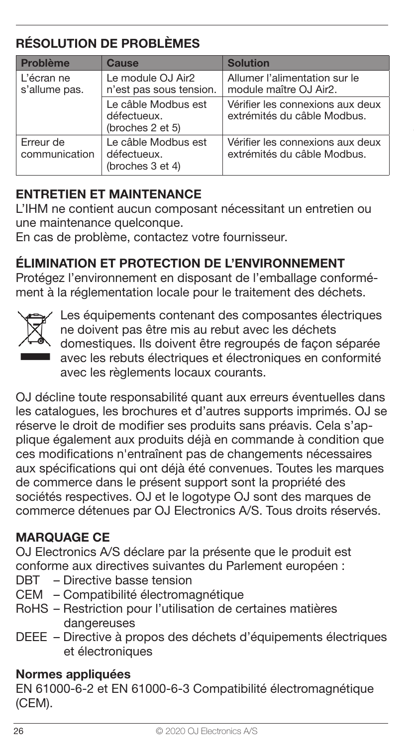### RÉSOLUTION DE PROBLÈMES

| Problème                    | Cause                                                  | <b>Solution</b>                                                 |
|-----------------------------|--------------------------------------------------------|-----------------------------------------------------------------|
| L'écran ne<br>s'allume pas. | Le module OJ Air2<br>n'est pas sous tension.           | Allumer l'alimentation sur le<br>module maître OJ Air2.         |
|                             | Le câble Modbus est<br>défectueux.<br>(broches 2 et 5) | Vérifier les connexions aux deux<br>extrémités du câble Modbus. |
| Erreur de<br>communication  | Le câble Modbus est<br>défectueux.<br>(broches 3 et 4) | Vérifier les connexions aux deux<br>extrémités du câble Modbus. |

#### ENTRETIEN ET MAINTENANCE

L'IHM ne contient aucun composant nécessitant un entretien ou une maintenance quelconque.

En cas de problème, contactez votre fournisseur.

#### ÉLIMINATION ET PROTECTION DE L'ENVIRONNEMENT

Protégez l'environnement en disposant de l'emballage conformément à la réglementation locale pour le traitement des déchets.



Les équipements contenant des composantes électriques ne doivent pas être mis au rebut avec les déchets domestiques. Ils doivent être regroupés de façon séparée avec les rebuts électriques et électroniques en conformité avec les règlements locaux courants.

OJ décline toute responsabilité quant aux erreurs éventuelles dans les catalogues, les brochures et d'autres supports imprimés. OJ se réserve le droit de modifier ses produits sans préavis. Cela s'applique également aux produits déjà en commande à condition que ces modifications n'entraînent pas de changements nécessaires aux spécifications qui ont déjà été convenues. Toutes les marques de commerce dans le présent support sont la propriété des sociétés respectives. OJ et le logotype OJ sont des marques de commerce détenues par OJ Electronics A/S. Tous droits réservés.

#### MARQUAGE CE

OJ Electronics A/S déclare par la présente que le produit est conforme aux directives suivantes du Parlement européen :

- DBT Directive basse tension
- CEM Compatibilité électromagnétique
- RoHS Restriction pour l'utilisation de certaines matières dangereuses
- DEEE Directive à propos des déchets d'équipements électriques et électroniques

#### Normes appliquées

EN 61000-6-2 et EN 61000-6-3 Compatibilité électromagnétique (CEM).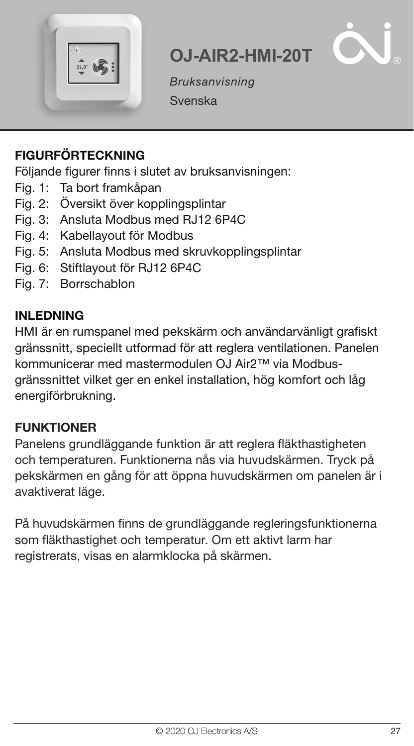



Bruksanvisning Svenska

#### FIGURFÖRTECKNING

Följande figurer finns i slutet av bruksanvisningen:

- Fig. 1: Ta bort framkåpan
- Fig. 2: Översikt över kopplingsplintar
- Fig. 3: Ansluta Modbus med RJ12 6P4C
- Fig. 4: Kabellayout för Modbus
- Fig. 5: Ansluta Modbus med skruvkopplingsplintar
- Fig. 6: Stiftlayout för RJ12 6P4C
- Fig. 7: Borrschablon

#### INI FDNING

HMI är en rumspanel med pekskärm och användarvänligt grafiskt gränssnitt, speciellt utformad för att reglera ventilationen. Panelen kommunicerar med mastermodulen OJ Air2™ via Modbusgränssnittet vilket ger en enkel installation, hög komfort och låg energiförbrukning.

#### **FUNKTIONER**

Panelens grundläggande funktion är att reglera fläkthastigheten och temperaturen. Funktionerna nås via huvudskärmen. Tryck på pekskärmen en gång för att öppna huvudskärmen om panelen är i avaktiverat läge.

På huvudskärmen finns de grundläggande regleringsfunktionerna som fläkthastighet och temperatur. Om ett aktivt larm har registrerats, visas en alarmklocka på skärmen.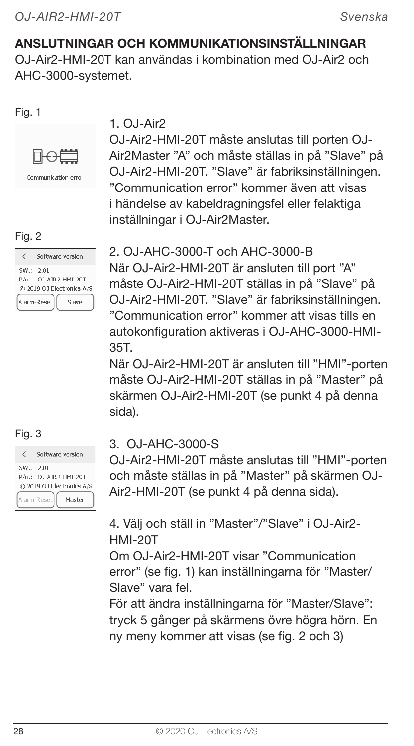#### ANSLUTNINGAR OCH KOMMUNIKATIONSINSTÄLLNINGAR

OJ-Air2-HMI-20T kan användas i kombination med OJ-Air2 och AHC-3000-systemet.

#### Fig. 1



#### Fig. 2

| Software version                                                                         |  |
|------------------------------------------------------------------------------------------|--|
| SW .: 2.01<br>P/n.: OJ-AIR2-HMI-20T<br>@ 2019 OJ Electronics A/S<br>Alarm-Reset<br>Slave |  |

|          | Software version          |
|----------|---------------------------|
| SW: 2.01 | P/n.: OJ-AIR2-HMI-20T     |
|          | @ 2019 OJ Electronics A/S |
|          | Alarm-Reset<br>Master     |

#### $1.0.1-Air2$

OJ-Air2-HMI-20T måste anslutas till porten OJ-Air2Master "A" och måste ställas in på "Slave" på OJ-Air2-HMI-20T. "Slave" är fabriksinställningen. "Communication error" kommer även att visas i händelse av kabeldragningsfel eller felaktiga inställningar i OJ-Air2Master.

2. OJ-AHC-3000-T och AHC-3000-B När OJ-Air2-HMI-20T är ansluten till port "A" måste OJ-Air2-HMI-20T ställas in på "Slave" på OJ-Air2-HMI-20T. "Slave" är fabriksinställningen. "Communication error" kommer att visas tills en autokonfiguration aktiveras i OJ-AHC-3000-HMI-35T.

När OJ-Air2-HMI-20T är ansluten till "HMI"-porten måste OJ-Air2-HMI-20T ställas in på "Master" på skärmen OJ-Air2-HMI-20T (se punkt 4 på denna sida).

# Fig. 3 3. OJ-AHC-3000-S

OJ-Air2-HMI-20T måste anslutas till "HMI"-porten och måste ställas in på "Master" på skärmen OJ-Air2-HMI-20T (se punkt 4 på denna sida).

4. Välj och ställ in "Master"/"Slave" i OJ-Air2- HMI-20T

Om OJ-Air2-HMI-20T visar "Communication error" (se fig. 1) kan inställningarna för "Master/ Slave" vara fel.

För att ändra inställningarna för "Master/Slave": tryck 5 gånger på skärmens övre högra hörn. En ny meny kommer att visas (se fig. 2 och 3)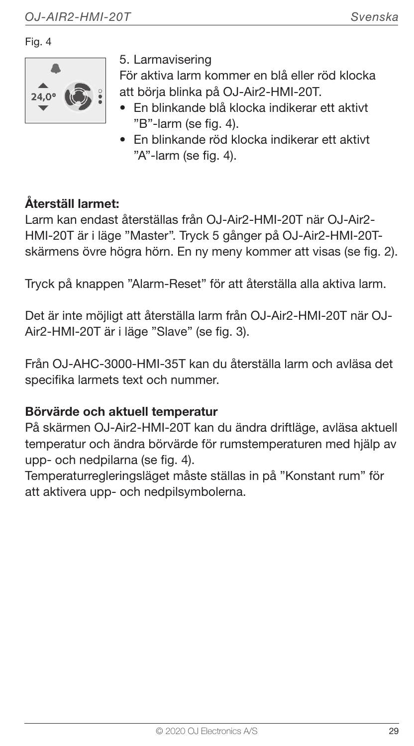Fig. 4



5. Larmavisering

För aktiva larm kommer en blå eller röd klocka att börja blinka på OJ-Air2-HMI-20T.

- En blinkande blå klocka indikerar ett aktivt "B"-larm (se fig. 4).
- En blinkande röd klocka indikerar ett aktivt "A"-larm (se fig. 4).

#### Återställ larmet:

Larm kan endast återställas från OJ-Air2-HMI-20T när OJ-Air2- HMI-20T är i läge "Master". Tryck 5 gånger på OJ-Air2-HMI-20Tskärmens övre högra hörn. En ny meny kommer att visas (se fig. 2).

Tryck på knappen "Alarm-Reset" för att återställa alla aktiva larm.

Det är inte möjligt att återställa larm från OJ-Air2-HMI-20T när OJ-Air2-HMI-20T är i läge "Slave" (se fig. 3).

Från OJ-AHC-3000-HMI-35T kan du återställa larm och avläsa det specifika larmets text och nummer.

#### Börvärde och aktuell temperatur

På skärmen OJ-Air2-HMI-20T kan du ändra driftläge, avläsa aktuell temperatur och ändra börvärde för rumstemperaturen med hjälp av upp- och nedpilarna (se fig. 4).

Temperaturregleringsläget måste ställas in på "Konstant rum" för att aktivera upp- och nedpilsymbolerna.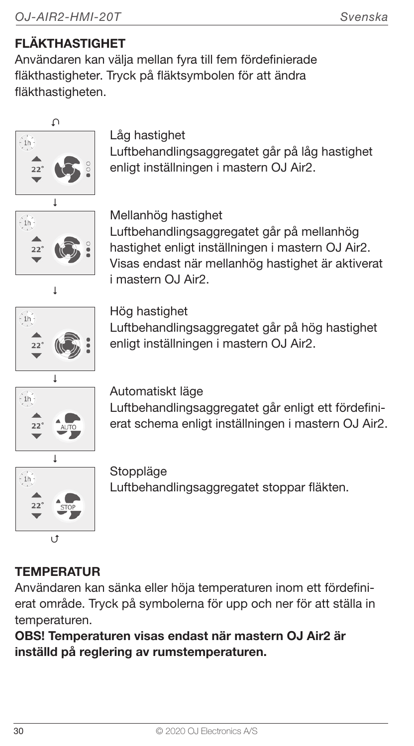### FLÄKTHASTIGHET

Användaren kan välja mellan fyra till fem fördefinierade fläkthastigheter. Tryck på fläktsymbolen för att ändra fläkthastigheten.



#### Låg hastighet

Luftbehandlingsaggregatet går på låg hastighet enligt inställningen i mastern OJ Air2.



#### Mellanhög hastighet

Luftbehandlingsaggregatet går på mellanhög hastighet enligt inställningen i mastern OJ Air2. Visas endast när mellanhög hastighet är aktiverat i mastern OJ Air2.



Hög hastighet

Luftbehandlingsaggregatet går på hög hastighet enligt inställningen i mastern OJ Air2.



Automatiskt läge

Luftbehandlingsaggregatet går enligt ett fördefinierat schema enligt inställningen i mastern OJ Air2.



Stoppläge Luftbehandlingsaggregatet stoppar fläkten.

### **TEMPERATUR**

Användaren kan sänka eller höja temperaturen inom ett fördefinierat område. Tryck på symbolerna för upp och ner för att ställa in temperaturen.

OBS! Temperaturen visas endast när mastern OJ Air2 är inställd på reglering av rumstemperaturen.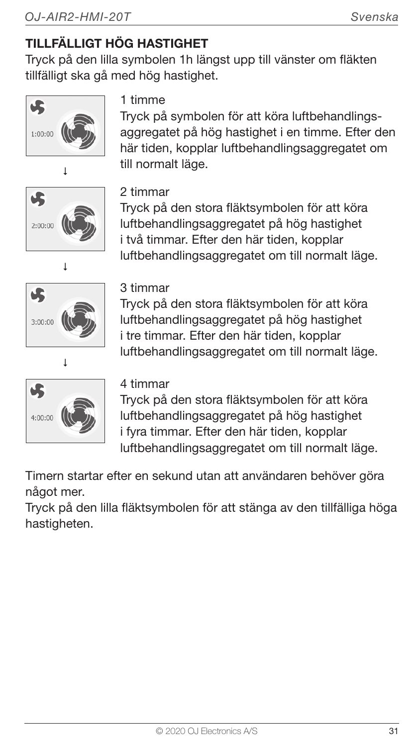# TILLFÄLLIGT HÖG HASTIGHET

Tryck på den lilla symbolen 1h längst upp till vänster om fläkten tillfälligt ska gå med hög hastighet.



# 1 timme

Tryck på symbolen för att köra luftbehandlingsaggregatet på hög hastighet i en timme. Efter den här tiden, kopplar luftbehandlingsaggregatet om till normalt läge.







#### 2 timmar

Tryck på den stora fläktsymbolen för att köra luftbehandlingsaggregatet på hög hastighet i två timmar. Efter den här tiden, kopplar luftbehandlingsaggregatet om till normalt läge.

#### 3 timmar

Tryck på den stora fläktsymbolen för att köra luftbehandlingsaggregatet på hög hastighet i tre timmar. Efter den här tiden, kopplar luftbehandlingsaggregatet om till normalt läge.

#### 4 timmar

Tryck på den stora fläktsymbolen för att köra luftbehandlingsaggregatet på hög hastighet i fyra timmar. Efter den här tiden, kopplar luftbehandlingsaggregatet om till normalt läge.

Timern startar efter en sekund utan att användaren behöver göra något mer.

Tryck på den lilla fläktsymbolen för att stänga av den tillfälliga höga hastigheten.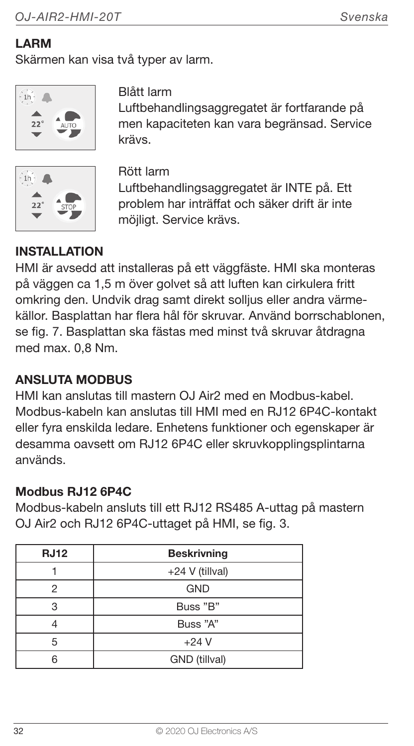#### LARM

Skärmen kan visa två typer av larm.



Blått larm

Luftbehandlingsaggregatet är fortfarande på men kapaciteten kan vara begränsad. Service krävs.



Rött larm Luftbehandlingsaggregatet är INTE på. Ett problem har inträffat och säker drift är inte möjligt. Service krävs.

#### INSTALLATION

HMI är avsedd att installeras på ett väggfäste. HMI ska monteras på väggen ca 1,5 m över golvet så att luften kan cirkulera fritt omkring den. Undvik drag samt direkt solljus eller andra värmekällor. Basplattan har flera hål för skruvar. Använd borrschablonen, se fig. 7. Basplattan ska fästas med minst två skruvar åtdragna med max. 0,8 Nm.

#### ANSLUTA MODBUS

HMI kan anslutas till mastern OJ Air2 med en Modbus-kabel. Modbus-kabeln kan anslutas till HMI med en RJ12 6P4C-kontakt eller fyra enskilda ledare. Enhetens funktioner och egenskaper är desamma oavsett om RJ12 6P4C eller skruvkopplingsplintarna används.

#### Modbus RJ12 6P4C

Modbus-kabeln ansluts till ett RJ12 RS485 A-uttag på mastern OJ Air2 och RJ12 6P4C-uttaget på HMI, se fig. 3.

| <b>RJ12</b> | <b>Beskrivning</b> |
|-------------|--------------------|
|             | +24 V (tillval)    |
| 2           | <b>GND</b>         |
| 3           | Buss "B"           |
|             | Buss "A"           |
| 5           | $+24V$             |
| ี           | GND (tillval)      |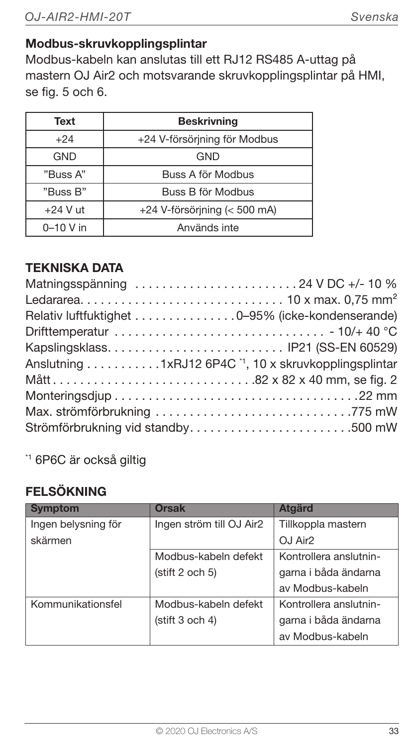#### Modbus-skruvkopplingsplintar

Modbus-kabeln kan anslutas till ett RJ12 RS485 A-uttag på mastern OJ Air2 och motsvarande skruvkopplingsplintar på HMI, se fig. 5 och 6.

| Text          | <b>Beskrivning</b>             |
|---------------|--------------------------------|
| $+24$         | +24 V-försörjning för Modbus   |
| GND           | GND                            |
| "Buss A"      | Buss A för Modbus              |
| "Buss B"      | Buss B för Modbus              |
| $+24$ V ut    | $+24$ V-försörjning (< 500 mA) |
| $0 - 10$ V in | Används inte                   |

#### TEKNISKA DATA

| Matningsspänning 24 V DC +/- 10 %                                |
|------------------------------------------------------------------|
|                                                                  |
| Relativ luftfuktighet 0-95% (icke-kondenserande)                 |
|                                                                  |
| Kapslingsklass IP21 (SS-EN 60529)                                |
| Anslutning 1xRJ12 6P4C <sup>1</sup> , 10 x skruvkopplingsplintar |
|                                                                  |
|                                                                  |
|                                                                  |
| Strömförbrukning vid standby500 mW                               |

\*1 6P6C är också giltig

#### FELSÖKNING

| Symptom             | <b>Orsak</b>             | <b>Ataärd</b>          |
|---------------------|--------------------------|------------------------|
| Ingen belysning för | Ingen ström till OJ Air2 | Tillkoppla mastern     |
| skärmen             |                          | OJ Air <sub>2</sub>    |
|                     | Modbus-kabeln defekt     | Kontrollera anslutnin- |
|                     | (stift 2 och 5)          | garna i båda ändarna   |
|                     |                          | av Modbus-kabeln       |
| Kommunikationsfel   | Modbus-kabeln defekt     | Kontrollera anslutnin- |
|                     | (stift 3 och 4)          | garna i båda ändarna   |
|                     |                          | av Modbus-kabeln       |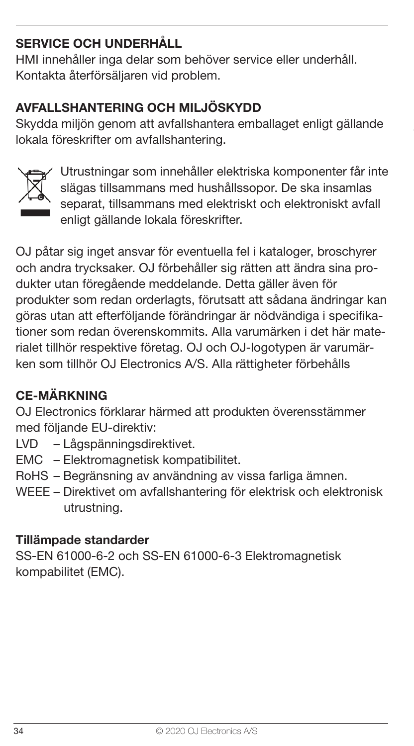#### SERVICE OCH UNDERHÅLL

HMI innehåller inga delar som behöver service eller underhåll. Kontakta återförsäljaren vid problem.

#### AVFALLSHANTERING OCH MILJÖSKYDD

Skydda miljön genom att avfallshantera emballaget enligt gällande lokala föreskrifter om avfallshantering.



Utrustningar som innehåller elektriska komponenter får inte slägas tillsammans med hushållssopor. De ska insamlas separat, tillsammans med elektriskt och elektroniskt avfall enligt gällande lokala föreskrifter.

OJ påtar sig inget ansvar för eventuella fel i kataloger, broschyrer och andra trycksaker. OJ förbehåller sig rätten att ändra sina produkter utan föregående meddelande. Detta gäller även för produkter som redan orderlagts, förutsatt att sådana ändringar kan göras utan att efterföljande förändringar är nödvändiga i specifikationer som redan överenskommits. Alla varumärken i det här materialet tillhör respektive företag. OJ och OJ-logotypen är varumärken som tillhör OJ Electronics A/S. Alla rättigheter förbehålls

#### CE-MÄRKNING

OJ Electronics förklarar härmed att produkten överensstämmer med följande EU-direktiv:

- LVD Lågspänningsdirektivet.
- EMC Elektromagnetisk kompatibilitet.
- RoHS Begränsning av användning av vissa farliga ämnen.
- WEEE Direktivet om avfallshantering för elektrisk och elektronisk utrustning.

#### Tillämpade standarder

SS-EN 61000-6-2 och SS-EN 61000-6-3 Elektromagnetisk kompabilitet (EMC).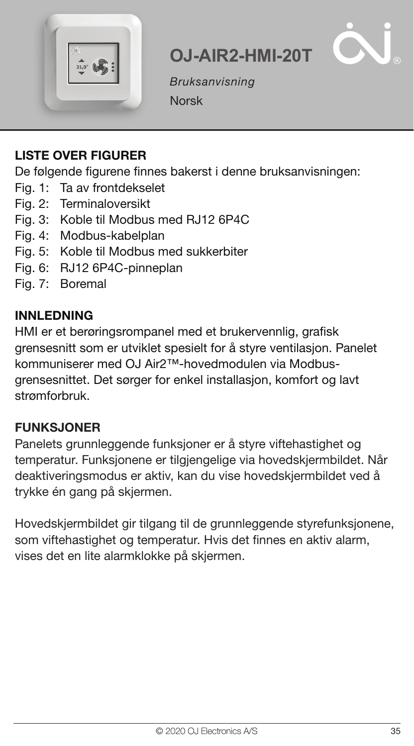



Bruksanvisning Norsk

**OJ-AIR2-HMI-20T**

#### LISTE OVER FIGURER

De følgende figurene finnes bakerst i denne bruksanvisningen:

- Fig. 1: Ta av frontdekselet
- Fig. 2: Terminaloversikt
- Fig. 3: Koble til Modbus med RJ12 6P4C
- Fig. 4: Modbus-kabelplan
- Fig. 5: Koble til Modbus med sukkerbiter
- Fig. 6: RJ12 6P4C-pinneplan
- Fig. 7: Boremal

#### INNLEDNING

HMI er et berøringsrompanel med et brukervennlig, grafisk grensesnitt som er utviklet spesielt for å styre ventilasjon. Panelet kommuniserer med OJ Air2™-hovedmodulen via Modbusgrensesnittet. Det sørger for enkel installasjon, komfort og lavt strømforbruk.

#### FUNKSJONER

Panelets grunnleggende funksjoner er å styre viftehastighet og temperatur. Funksjonene er tilgjengelige via hovedskjermbildet. Når deaktiveringsmodus er aktiv, kan du vise hovedskjermbildet ved å trykke én gang på skjermen.

Hovedskjermbildet gir tilgang til de grunnleggende styrefunksjonene, som viftehastighet og temperatur. Hvis det finnes en aktiv alarm, vises det en lite alarmklokke på skjermen.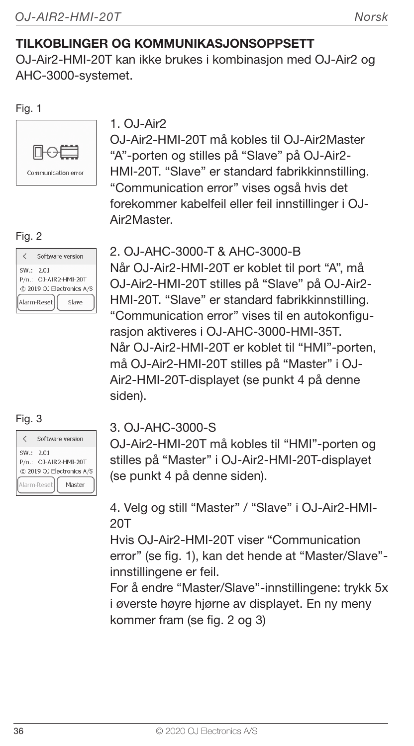#### TILKOBLINGER OG KOMMUNIKASJONSOPPSETT

OJ-Air2-HMI-20T kan ikke brukes i kombinasjon med OJ-Air2 og AHC-3000-systemet.

Fig. 1



#### Fig. 2

|            | Software version                                                           |
|------------|----------------------------------------------------------------------------|
| SW .: 2.01 | P/n.: OJ-AIR2-HMI-20T<br>@ 2019 OJ Electronics A/S<br>Alarm-Reset<br>Slave |

|          | Software version                                   |
|----------|----------------------------------------------------|
| SW: 2.01 | P/n.: OJ-AIR2-HMI-20T<br>@ 2019 OJ Electronics A/S |
|          | Alarm-Reset<br>Masher                              |

#### 1.  $O.I-Air2$

OJ-Air2-HMI-20T må kobles til OJ-Air2Master "A"-porten og stilles på "Slave" på OJ-Air2- HMI-20T. "Slave" er standard fabrikkinnstilling. "Communication error" vises også hvis det forekommer kabelfeil eller feil innstillinger i OJ-Air2Master.

#### 2. OJ-AHC-3000-T & AHC-3000-B

Når OJ-Air2-HMI-20T er koblet til port "A", må OJ-Air2-HMI-20T stilles på "Slave" på OJ-Air2- HMI-20T. "Slave" er standard fabrikkinnstilling. "Communication error" vises til en autokonfigurasjon aktiveres i OJ-AHC-3000-HMI-35T. Når OJ-Air2-HMI-20T er koblet til "HMI"-porten, må OJ-Air2-HMI-20T stilles på "Master" i OJ-Air2-HMI-20T-displayet (se punkt 4 på denne siden).

# Fig. 3 3. OJ-AHC-3000-S

OJ-Air2-HMI-20T må kobles til "HMI"-porten og stilles på "Master" i OJ-Air2-HMI-20T-displayet (se punkt 4 på denne siden).

#### 4. Velg og still "Master" / "Slave" i OJ-Air2-HMI-20T

Hvis Q.I-Air2-HMI-20T viser "Communication error" (se fig. 1), kan det hende at "Master/Slave" innstillingene er feil.

For å endre "Master/Slave"-innstillingene: trykk 5x i øverste høyre hjørne av displayet. En ny meny kommer fram (se fig. 2 og 3)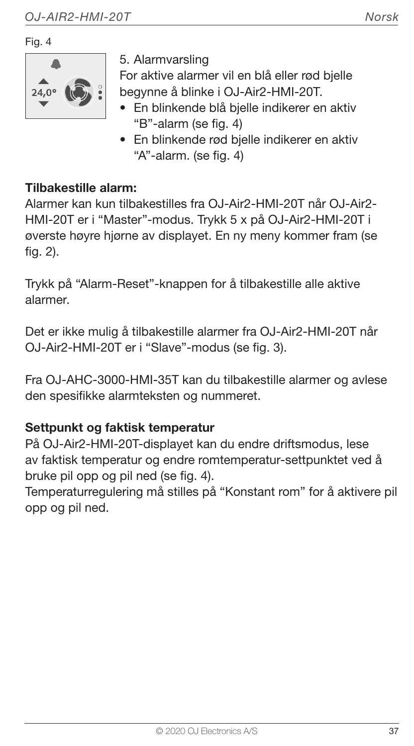Fig. 4



5. Alarmvarsling

For aktive alarmer vil en blå eller rød bjelle begynne å blinke i OJ-Air2-HMI-20T.

- En blinkende blå bjelle indikerer en aktiv "B"-alarm (se fig. 4)
- En blinkende rød bjelle indikerer en aktiv "A"-alarm. (se fig. 4)

#### Tilbakestille alarm:

Alarmer kan kun tilbakestilles fra Q.I-Air2-HMI-20T når Q.I-Air2-HMI-20T er i "Master"-modus. Trykk 5 x på OJ-Air2-HMI-20T i øverste høyre hjørne av displayet. En ny meny kommer fram (se fig. 2).

Trykk på "Alarm-Reset"-knappen for å tilbakestille alle aktive alarmer.

Det er ikke mulig å tilbakestille alarmer fra OJ-Air2-HMI-20T når OJ-Air2-HMI-20T er i "Slave"-modus (se fig. 3).

Fra OJ-AHC-3000-HMI-35T kan du tilbakestille alarmer og avlese den spesifikke alarmteksten og nummeret.

#### Settpunkt og faktisk temperatur

På OJ-Air2-HMI-20T-displayet kan du endre driftsmodus, lese av faktisk temperatur og endre romtemperatur-settpunktet ved å bruke pil opp og pil ned (se fig. 4).

Temperaturregulering må stilles på "Konstant rom" for å aktivere pil opp og pil ned.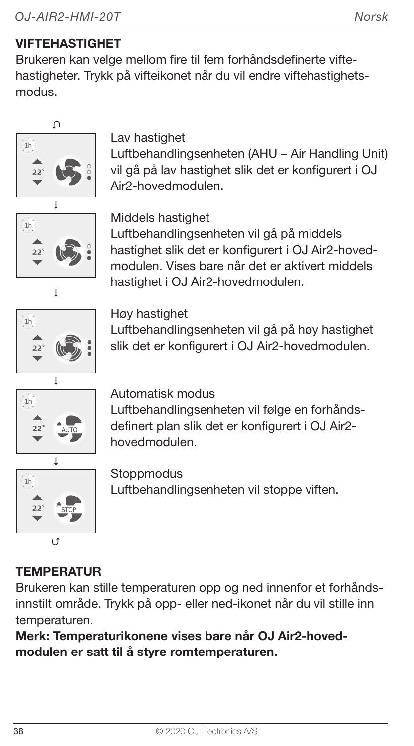## VIFTEHASTIGHET

Brukeren kan velge mellom fire til fem forhåndsdefinerte viftehastigheter. Trykk på vifteikonet når du vil endre viftehastighetsmodus.



## Lav hastighet

Luftbehandlingsenheten (AHU – Air Handling Unit) vil gå på lav hastighet slik det er konfigurert i OJ Air2-hovedmodulen.



Middels hastighet

Luftbehandlingsenheten vil gå på middels hastighet slik det er konfigurert i OJ Air2-hovedmodulen. Vises bare når det er aktivert middels hastighet i OJ Air2-hovedmodulen.



#### Høy hastighet

Luftbehandlingsenheten vil gå på høy hastighet slik det er konfigurert i OJ Air2-hovedmodulen.



#### Automatisk modus

Luftbehandlingsenheten vil følge en forhåndsdefinert plan slik det er konfigurert i OJ Air2 hovedmodulen.



## **Stoppmodus**

Luftbehandlingsenheten vil stoppe viften.

## **TEMPERATUR**

Brukeren kan stille temperaturen opp og ned innenfor et forhåndsinnstilt område. Trykk på opp- eller ned-ikonet når du vil stille inn temperaturen.

Merk: Temperaturikonene vises bare når OJ Air2-hovedmodulen er satt til å styre romtemperaturen.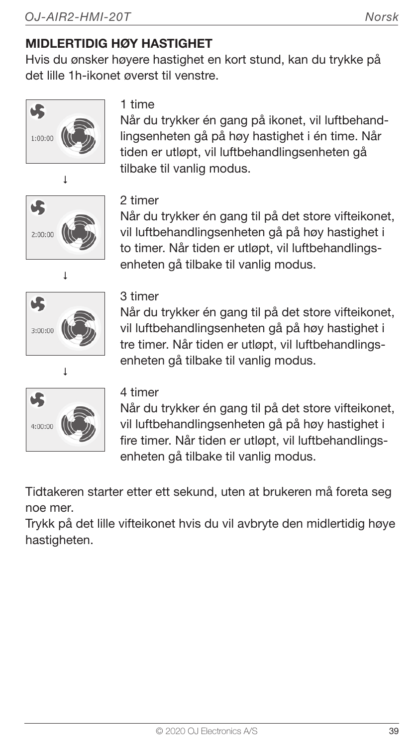## MIDLERTIDIG HØY HASTIGHET

Hvis du ønsker høyere hastighet en kort stund, kan du trykke på det lille 1h-ikonet øverst til venstre.



#### 1 time

Når du trykker én gang på ikonet, vil luftbehandlingsenheten gå på høy hastighet i én time. Når tiden er utløpt, vil luftbehandlingsenheten gå tilbake til vanlig modus.





#### 2 timer

Når du trykker én gang til på det store vifteikonet, vil luftbehandlingsenheten gå på høy hastighet i to timer. Når tiden er utløpt, vil luftbehandlingsenheten gå tilbake til vanlig modus.

#### 3 timer

Når du trykker én gang til på det store vifteikonet, vil luftbehandlingsenheten gå på høy hastighet i tre timer. Når tiden er utløpt, vil luftbehandlingsenheten gå tilbake til vanlig modus.



#### 4 timer

Når du trykker én gang til på det store vifteikonet, vil luftbehandlingsenheten gå på høy hastighet i fire timer. Når tiden er utløpt, vil luftbehandlingsenheten gå tilbake til vanlig modus.

Tidtakeren starter etter ett sekund, uten at brukeren må foreta seg noe mer.

Trykk på det lille vifteikonet hvis du vil avbryte den midlertidig høye hastigheten.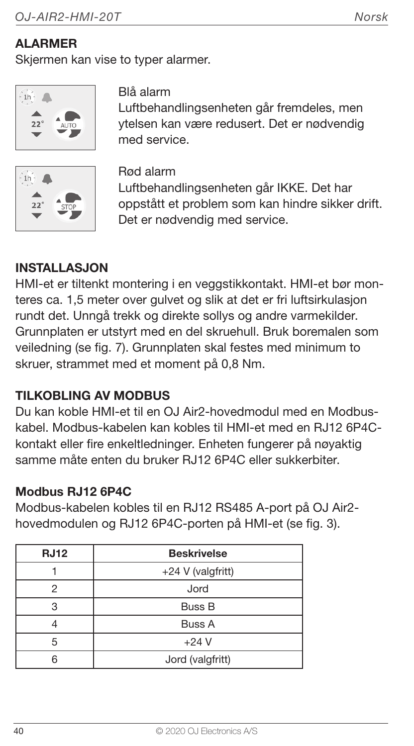## **ALARMER**

Skiermen kan vise to typer alarmer.





Blå alarm

Luftbehandlingsenheten går fremdeles, men ytelsen kan være redusert. Det er nødvendig med service.

Rød alarm Luftbehandlingsenheten går IKKE. Det har oppstått et problem som kan hindre sikker drift. Det er nødvendig med service.

#### INSTALLASJON

HMI-et er tiltenkt montering i en veggstikkontakt. HMI-et bør monteres ca. 1,5 meter over gulvet og slik at det er fri luftsirkulasjon rundt det. Unngå trekk og direkte sollys og andre varmekilder. Grunnplaten er utstyrt med en del skruehull. Bruk boremalen som veiledning (se fig. 7). Grunnplaten skal festes med minimum to skruer, strammet med et moment på 0,8 Nm.

## TILKOBLING AV MODBUS

Du kan koble HMI-et til en OJ Air2-hovedmodul med en Modbuskabel. Modbus-kabelen kan kobles til HMI-et med en RJ12 6P4Ckontakt eller fire enkeltledninger. Enheten fungerer på nøyaktig samme måte enten du bruker RJ12 6P4C eller sukkerbiter.

#### Modbus RJ12 6P4C

Modbus-kabelen kobles til en RJ12 RS485 A-port på OJ Air2 hovedmodulen og RJ12 6P4C-porten på HMI-et (se fig. 3).

| <b>RJ12</b> | <b>Beskrivelse</b> |  |
|-------------|--------------------|--|
|             | +24 V (valgfritt)  |  |
| 2           | Jord               |  |
|             | <b>Buss B</b>      |  |
|             | <b>Buss A</b>      |  |
| 5           | $+24V$             |  |
|             | Jord (valgfritt)   |  |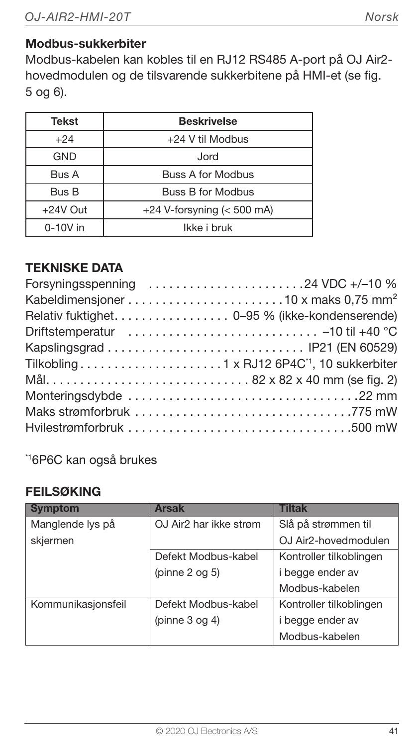#### Modbus-sukkerbiter

Modbus-kabelen kan kobles til en RJ12 RS485 A-port på OJ Air2 hovedmodulen og de tilsvarende sukkerbitene på HMI-et (se fig. 5 og 6).

| <b>Tekst</b> | <b>Beskrivelse</b>           |  |
|--------------|------------------------------|--|
| $+24$        | +24 V til Modbus             |  |
| GND          | Jord                         |  |
| Bus A        | <b>Buss A for Modbus</b>     |  |
| Bus B        | <b>Buss B for Modbus</b>     |  |
| $+24V$ Out   | $+24$ V-forsyning (< 500 mA) |  |
| $0-10V$ in   | Ikke i bruk                  |  |

#### TEKNISKE DATA

| Forsyningsspenning 24 VDC +/-10 %              |  |
|------------------------------------------------|--|
|                                                |  |
| Relativ fuktighet. 0-95 % (ikke-kondenserende) |  |
|                                                |  |
|                                                |  |
|                                                |  |
| Mål82 x 82 x 40 mm (se fig. 2)                 |  |
|                                                |  |
|                                                |  |
|                                                |  |

\*16P6C kan også brukes

#### FEILSØKING

| <b>Symptom</b>     | <b>Arsak</b>           | <b>Tiltak</b>           |
|--------------------|------------------------|-------------------------|
| Manglende lys på   | OJ Air2 har ikke strøm | Slå på strømmen til     |
| skjermen           |                        | OJ Air2-hovedmodulen    |
|                    | Defekt Modbus-kabel    | Kontroller tilkoblingen |
|                    | (pinne 2 og 5)         | i begge ender av        |
|                    |                        | Modbus-kabelen          |
| Kommunikasjonsfeil | Defekt Modbus-kabel    | Kontroller tilkoblingen |
|                    | (pinne $3$ og $4$ )    | i begge ender av        |
|                    |                        | Modbus-kabelen          |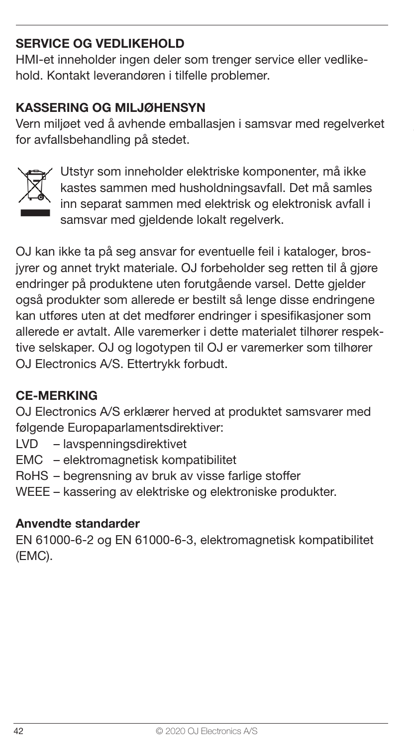#### SERVICE OG VEDLIKEHOLD

HMI-et inneholder ingen deler som trenger service eller vedlikehold. Kontakt leverandøren i tilfelle problemer.

#### KASSERING OG MILJØHENSYN

Vern miljøet ved å avhende emballasjen i samsvar med regelverket for avfallsbehandling på stedet.



Utstyr som inneholder elektriske komponenter, må ikke kastes sammen med husholdningsavfall. Det må samles inn separat sammen med elektrisk og elektronisk avfall i samsvar med gjeldende lokalt regelverk.

OJ kan ikke ta på seg ansvar for eventuelle feil i kataloger, brosjyrer og annet trykt materiale. OJ forbeholder seg retten til å gjøre endringer på produktene uten forutgående varsel. Dette gjelder også produkter som allerede er bestilt så lenge disse endringene kan utføres uten at det medfører endringer i spesifikasjoner som allerede er avtalt. Alle varemerker i dette materialet tilhører respektive selskaper. OJ og logotypen til OJ er varemerker som tilhører OJ Electronics A/S. Ettertrykk forbudt.

#### CE-MERKING

OJ Electronics A/S erklærer herved at produktet samsvarer med følgende Europaparlamentsdirektiver:

- LVD lavspenningsdirektivet
- EMC elektromagnetisk kompatibilitet
- RoHS begrensning av bruk av visse farlige stoffer
- WEEE kassering av elektriske og elektroniske produkter.

#### Anvendte standarder

EN 61000-6-2 og EN 61000-6-3, elektromagnetisk kompatibilitet (EMC).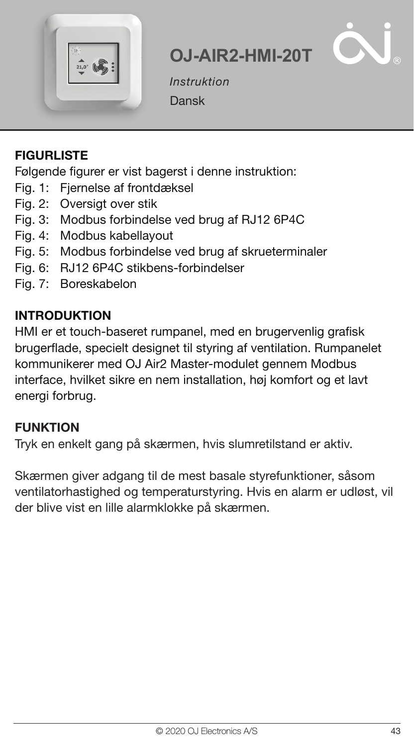



Instruktion Dansk

#### FIGURLISTE

Følgende figurer er vist bagerst i denne instruktion:

- Fig. 1: Fiernelse af frontdæksel
- Fig. 2: Oversigt over stik
- Fig. 3: Modbus forbindelse ved brug af RJ12 6P4C
- Fig. 4: Modbus kabellayout
- Fig. 5: Modbus forbindelse ved brug af skrueterminaler
- Fig. 6: RJ12 6P4C stikbens-forbindelser
- Fig. 7: Boreskabelon

#### INTRODUKTION

HMI er et touch-baseret rumpanel, med en brugervenlig grafisk brugerflade, specielt designet til styring af ventilation. Rumpanelet kommunikerer med OJ Air2 Master-modulet gennem Modbus interface, hvilket sikre en nem installation, høj komfort og et lavt energi forbrug.

#### **FUNKTION**

Tryk en enkelt gang på skærmen, hvis slumretilstand er aktiv.

Skærmen giver adgang til de mest basale styrefunktioner, såsom ventilatorhastighed og temperaturstyring. Hvis en alarm er udløst, vil der blive vist en lille alarmklokke på skærmen.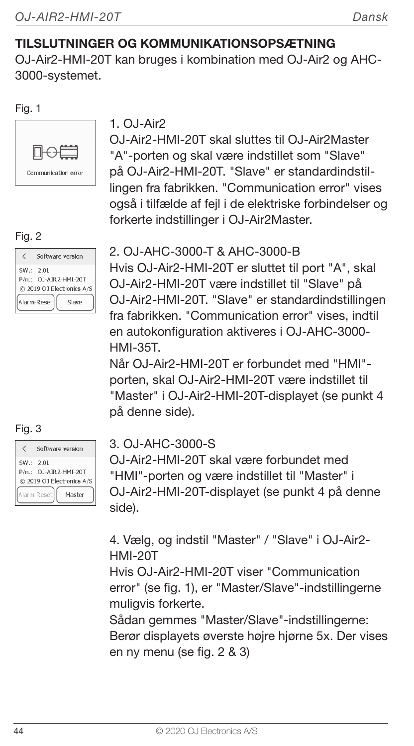## TILSLUTNINGER OG KOMMUNIKATIONSOPSÆTNING

OJ-Air2-HMI-20T kan bruges i kombination med OJ-Air2 og AHC-3000-systemet.

Fig. 1



## $1.0.1-Air2$

OJ-Air2-HMI-20T skal sluttes til OJ-Air2Master "A"-porten og skal være indstillet som "Slave" på OJ-Air2-HMI-20T. "Slave" er standardindstillingen fra fabrikken. "Communication error" vises også i tilfælde af fejl i de elektriske forbindelser og forkerte indstillinger i OJ-Air2Master.

#### Fig. 2

|            | Software version                                   |
|------------|----------------------------------------------------|
| SW .: 2.01 | P/n.: OJ-AIR2-HMI-20T<br>@ 2019 OJ Electronics A/S |
|            | Alarm-Reset<br>Slave                               |

## Fig. 3

|          | Software version                                   |
|----------|----------------------------------------------------|
| SW: 2.01 |                                                    |
|          | P/n.: OJ-AIR2-HMI-20T<br>@ 2019 OJ Electronics A/S |
|          | Alarm-Reset<br>Masher                              |

#### 2. OJ-AHC-3000-T & AHC-3000-B

Hvis OJ-Air2-HMI-20T er sluttet til port "A", skal OJ-Air2-HMI-20T være indstillet til "Slave" på OJ-Air2-HMI-20T. "Slave" er standardindstillingen fra fabrikken. "Communication error" vises, indtil en autokonfiguration aktiveres i OJ-AHC-3000- HMI-35T.

Når OJ-Air2-HMI-20T er forbundet med "HMI" porten, skal OJ-Air2-HMI-20T være indstillet til "Master" i OJ-Air2-HMI-20T-displayet (se punkt 4 på denne side).

#### 3. OJ-AHC-3000-S

OJ-Air2-HMI-20T skal være forbundet med "HMI"-porten og være indstillet til "Master" i OJ-Air2-HMI-20T-displayet (se punkt 4 på denne side).

4. Vælg, og indstil "Master" / "Slave" i OJ-Air2- HMI-20T

Hvis O.I-Air2-HMI-20T viser "Communication error" (se fig. 1), er "Master/Slave"-indstillingerne muligvis forkerte.

Sådan gemmes "Master/Slave"-indstillingerne: Berør displayets øverste højre hjørne 5x. Der vises en ny menu (se fig. 2 & 3)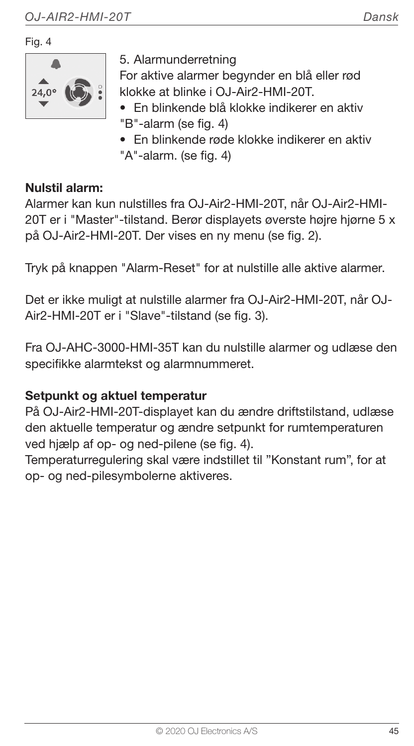Fig. 4



5. Alarmunderretning

For aktive alarmer begynder en blå eller rød klokke at blinke i OJ-Air2-HMI-20T.

- En blinkende blå klokke indikerer en aktiv "B"-alarm (se fig. 4)
- En blinkende røde klokke indikerer en aktiv "A"-alarm. (se fig. 4)

#### Nulstil alarm:

Alarmer kan kun nulstilles fra OJ-Air2-HMI-20T, når OJ-Air2-HMI-20T er i "Master"-tilstand. Berør displayets øverste højre hjørne 5 x på OJ-Air2-HMI-20T. Der vises en ny menu (se fig. 2).

Tryk på knappen "Alarm-Reset" for at nulstille alle aktive alarmer.

Det er ikke muligt at nulstille alarmer fra OJ-Air2-HMI-20T, når OJ-Air2-HMI-20T er i "Slave"-tilstand (se fig. 3).

Fra OJ-AHC-3000-HMI-35T kan du nulstille alarmer og udlæse den specifikke alarmtekst og alarmnummeret.

#### Setpunkt og aktuel temperatur

På OJ-Air2-HMI-20T-displayet kan du ændre driftstilstand, udlæse den aktuelle temperatur og ændre setpunkt for rumtemperaturen ved hjælp af op- og ned-pilene (se fig. 4).

Temperaturregulering skal være indstillet til "Konstant rum", for at op- og ned-pilesymbolerne aktiveres.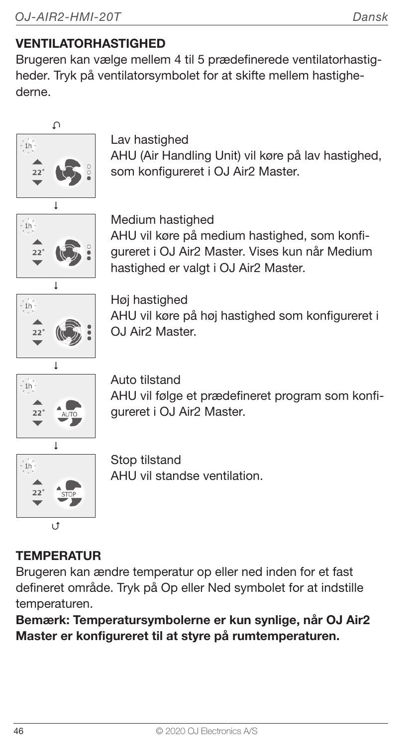## VENTILATORHASTIGHED

Brugeren kan vælge mellem 4 til 5 prædefinerede ventilatorhastigheder. Tryk på ventilatorsymbolet for at skifte mellem hastighederne.





AHU vil følge et prædefineret program som konfigureret i OJ Air2 Master.



Stop tilstand AHU vil standse ventilation.

## **TEMPERATUR**

Brugeren kan ændre temperatur op eller ned inden for et fast defineret område. Tryk på Op eller Ned symbolet for at indstille temperaturen.

Bemærk: Temperatursymbolerne er kun synlige, når OJ Air2 Master er konfigureret til at styre på rumtemperaturen.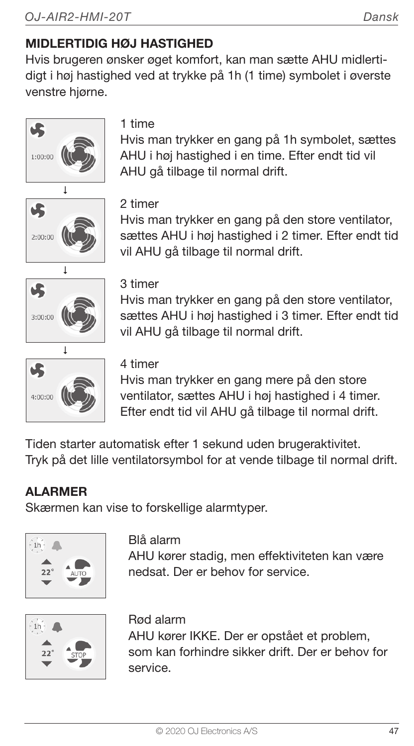## MIDI FRTIDIG HØJ HASTIGHED

Hvis brugeren ønsker øget komfort, kan man sætte AHU midlertidigt i høj hastighed ved at trykke på 1h (1 time) symbolet i øverste venstre hjørne.



#### 1 time

Hvis man trykker en gang på 1h symbolet, sættes AHU i høj hastighed i en time. Efter endt tid vil AHU gå tilbage til normal drift.



#### 2 timer

Hvis man trykker en gang på den store ventilator, sættes AHU i høj hastighed i 2 timer. Efter endt tid vil AHU gå tilbage til normal drift.



#### 3 timer

Hvis man trykker en gang på den store ventilator, sættes AHU i høj hastighed i 3 timer. Efter endt tid vil AHU gå tilbage til normal drift.



#### 4 timer

Hvis man trykker en gang mere på den store ventilator, sættes AHU i høj hastighed i 4 timer. Efter endt tid vil AHU gå tilbage til normal drift.

Tiden starter automatisk efter 1 sekund uden brugeraktivitet. Tryk på det lille ventilatorsymbol for at vende tilbage til normal drift.

## **ALARMER**

Skærmen kan vise to forskellige alarmtyper.



#### Blå alarm

AHU kører stadig, men effektiviteten kan være nedsat. Der er behov for service.



#### Rød alarm

AHU kører IKKE. Der er opstået et problem, som kan forhindre sikker drift. Der er behov for service.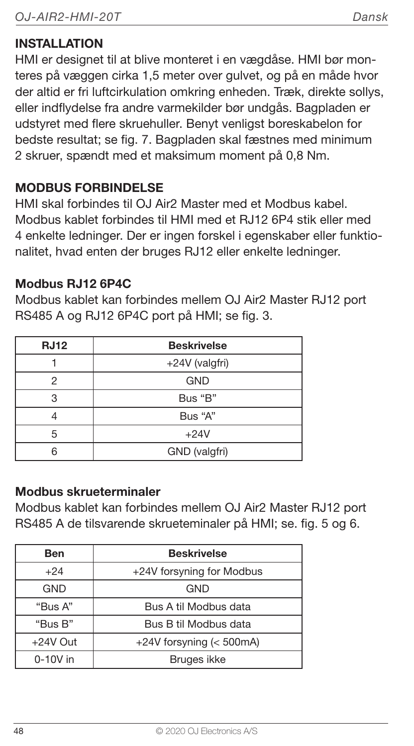#### INSTALLATION

HMI er designet til at blive monteret i en vægdåse. HMI bør monteres på væggen cirka 1,5 meter over gulvet, og på en måde hvor der altid er fri luftcirkulation omkring enheden. Træk, direkte sollys, eller indflydelse fra andre varmekilder bør undgås. Bagpladen er udstyret med flere skruehuller. Benyt venligst boreskabelon for bedste resultat; se fig. 7. Bagpladen skal fæstnes med minimum 2 skruer, spændt med et maksimum moment på 0,8 Nm.

#### MODBUS FORBINDELSE

HMI skal forbindes til OJ Air2 Master med et Modbus kabel. Modbus kablet forbindes til HMI med et RJ12 6P4 stik eller med 4 enkelte ledninger. Der er ingen forskel i egenskaber eller funktionalitet, hvad enten der bruges RJ12 eller enkelte ledninger.

#### Modbus RJ12 6P4C

Modbus kablet kan forbindes mellem OJ Air2 Master RJ12 port RS485 A og RJ12 6P4C port på HMI; se fig. 3.

| <b>RJ12</b> | <b>Beskrivelse</b> |
|-------------|--------------------|
|             | +24V (valgfri)     |
| 2           | <b>GND</b>         |
| З           | Bus "B"            |
|             | Bus "A"            |
| 5           | $+24V$             |
|             | GND (valgfri)      |

#### Modbus skrueterminaler

Modbus kablet kan forbindes mellem OJ Air2 Master RJ12 port RS485 A de tilsvarende skrueteminaler på HMI; se. fig. 5 og 6.

| Ben        | <b>Beskrivelse</b>        |  |
|------------|---------------------------|--|
| $+24$      | +24V forsyning for Modbus |  |
| <b>GND</b> | GND                       |  |
| "Bus A"    | Bus A til Modbus data     |  |
| "Bus B"    | Bus B til Modbus data     |  |
| $+24V$ Out | +24V forsyning (< 500mA)  |  |
| $0-10V$ in | Bruges ikke               |  |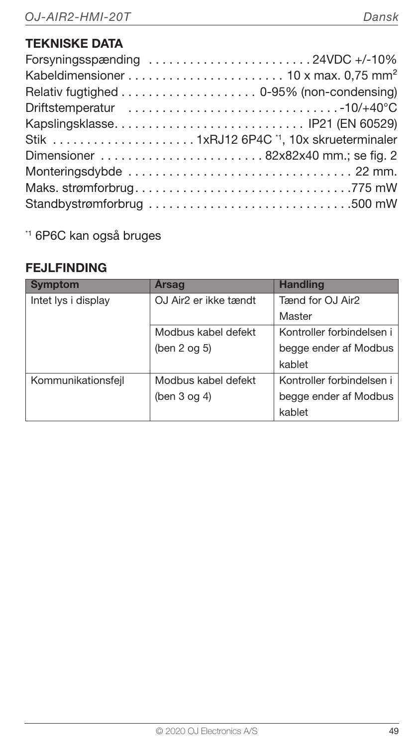| Forsyningsspænding 24VDC +/-10%                     |  |
|-----------------------------------------------------|--|
|                                                     |  |
|                                                     |  |
|                                                     |  |
| Kapslingsklasse IP21 (EN 60529)                     |  |
| Stik 1xRJ12 6P4C <sup>1</sup> , 10x skrueterminaler |  |
|                                                     |  |
|                                                     |  |
|                                                     |  |
| Standbystrømforbrug 500 mW                          |  |

\*1 6P6C kan også bruges

#### FEJLFINDING

| <b>Symptom</b>      | Arsag                 | <b>Handling</b>           |
|---------------------|-----------------------|---------------------------|
| Intet lys i display | OJ Air2 er ikke tændt | Tænd for OJ Air2          |
|                     |                       | Master                    |
|                     | Modbus kabel defekt   | Kontroller forbindelsen i |
|                     | (ben 2 og 5)          | begge ender af Modbus     |
|                     |                       | kablet                    |
| Kommunikationsfejl  | Modbus kabel defekt   | Kontroller forbindelsen i |
|                     | (ben $3$ og $4$ )     | begge ender af Modbus     |
|                     |                       | kablet                    |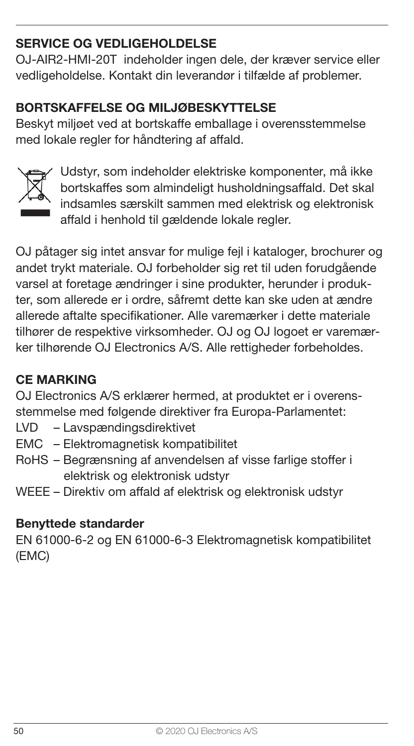## SERVICE OG VEDLIGEHOLDELSE

OJ-AIR2-HMI-20T indeholder ingen dele, der kræver service eller vedligeholdelse. Kontakt din leverandør i tilfælde af problemer.

#### BORTSKAFFELSE OG MILJØBESKYTTELSE

Beskyt miljøet ved at bortskaffe emballage i overensstemmelse med lokale regler for håndtering af affald.



Udstyr, som indeholder elektriske komponenter, må ikke bortskaffes som almindeligt husholdningsaffald. Det skal indsamles særskilt sammen med elektrisk og elektronisk affald i henhold til gældende lokale regler.

OJ påtager sig intet ansvar for mulige fejl i kataloger, brochurer og andet trykt materiale. OJ forbeholder sig ret til uden forudgående varsel at foretage ændringer i sine produkter, herunder i produkter, som allerede er i ordre, såfremt dette kan ske uden at ændre allerede aftalte specifikationer. Alle varemærker i dette materiale tilhører de respektive virksomheder. OJ og OJ logoet er varemærker tilhørende OJ Electronics A/S. Alle rettigheder forbeholdes.

#### CE MARKING

OJ Electronics A/S erklærer hermed, at produktet er i overensstemmelse med følgende direktiver fra Europa-Parlamentet:

- LVD Lavspændingsdirektivet
- EMC Elektromagnetisk kompatibilitet
- RoHS Begrænsning af anvendelsen af visse farlige stoffer i elektrisk og elektronisk udstyr
- WEEE Direktiv om affald af elektrisk og elektronisk udstyr

#### Benyttede standarder

EN 61000-6-2 og EN 61000-6-3 Elektromagnetisk kompatibilitet (EMC)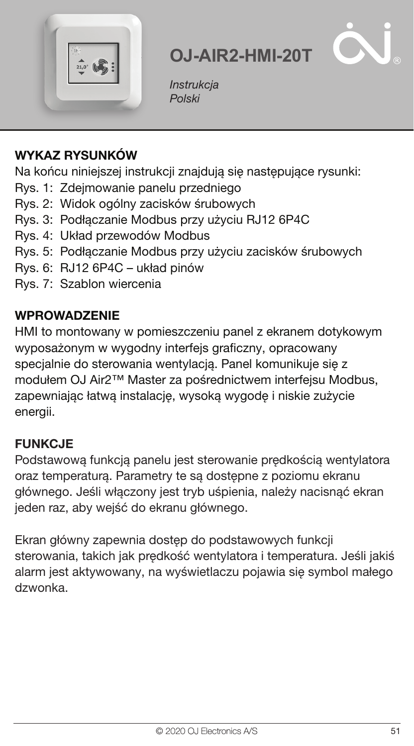

**Instrukcja** Polski

## WYKAZ RYSUNKÓW

Na końcu niniejszej instrukcji znajdują się następujące rysunki:

- Rys. 1: Zdejmowanie panelu przedniego
- Rys. 2: Widok ogólny zacisków śrubowych
- Rys. 3: Podłączanie Modbus przy użyciu RJ12 6P4C
- Rys. 4: Układ przewodów Modbus
- Rys. 5: Podłączanie Modbus przy użyciu zacisków śrubowych
- Rys. 6: RJ12 6P4C układ pinów
- Rys. 7: Szablon wiercenia

#### **WPROWADZENIE**

HMI to montowany w pomieszczeniu panel z ekranem dotykowym wyposażonym w wygodny interfejs graficzny, opracowany specjalnie do sterowania wentylacją. Panel komunikuje się z modułem OJ Air2™ Master za pośrednictwem interfejsu Modbus, zapewniając łatwą instalację, wysoką wygodę i niskie zużycie energii.

#### FUNKCJE

Podstawową funkcją panelu jest sterowanie prędkością wentylatora oraz temperaturą. Parametry te są dostępne z poziomu ekranu głównego. Jeśli włączony jest tryb uśpienia, należy nacisnąć ekran jeden raz, aby wejść do ekranu głównego.

Ekran główny zapewnia dostęp do podstawowych funkcji sterowania, takich jak prędkość wentylatora i temperatura. Jeśli jakiś alarm jest aktywowany, na wyświetlaczu pojawia się symbol małego dzwonka.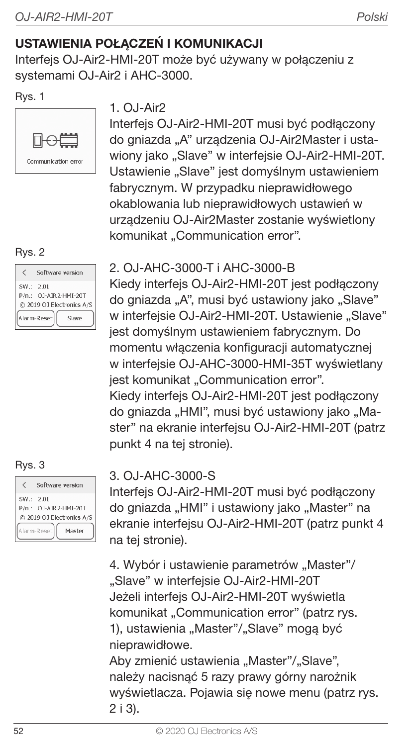## USTAWIENIA POŁACZEŃ I KOMUNIKACJI

Interfejs OJ-Air2-HMI-20T może być używany w połączeniu z systemami OJ-Air2 i AHC-3000.

#### Rys. 1



#### Rys. 2

|            | Software version                                                           |
|------------|----------------------------------------------------------------------------|
| SW .: 2.01 | P/n.: OJ-AIR2-HMI-20T<br>@ 2019 OJ Electronics A/S<br>Alarm-Reset<br>Slave |
|            |                                                                            |

#### Rys. 3

|            | Software version                                   |
|------------|----------------------------------------------------|
| SW .: 2.01 | P/n.: 0J-AIR2-HMI-20T<br>@ 2019 OJ Electronics A/S |
|            | Alarm-Reset<br>Masher                              |

#### 1. OJ-Air2

Interfejs OJ-Air2-HMI-20T musi być podłączony do gniazda "A" urządzenia OJ-Air2Master i ustawiony jako "Slave" w interfejsie OJ-Air2-HMI-20T. Ustawienie "Slave" jest domyślnym ustawieniem fabrycznym. W przypadku nieprawidłowego okablowania lub nieprawidłowych ustawień w urządzeniu OJ-Air2Master zostanie wyświetlony komunikat "Communication error".

#### 2. OJ-AHC-3000-T i AHC-3000-B

Kiedy interfejs OJ-Air2-HMI-20T jest podłączony do gniazda "A", musi być ustawiony jako "Slave" w interfeisie OJ-Air2-HMI-20T. Ustawienie "Slave" jest domyślnym ustawieniem fabrycznym. Do momentu włączenia konfiguracji automatycznej w interfejsie OJ-AHC-3000-HMI-35T wyświetlany jest komunikat "Communication error". Kiedy interfejs OJ-Air2-HMI-20T jest podłączony do gniazda "HMI", musi być ustawiony jako "Master" na ekranie interfejsu OJ-Air2-HMI-20T (patrz punkt 4 na tej stronie).

#### 3. OJ-AHC-3000-S

Interfejs OJ-Air2-HMI-20T musi być podłączony do gniazda "HMI" i ustawiony jako "Master" na ekranie interfejsu OJ-Air2-HMI-20T (patrz punkt 4 na tej stronie).

4. Wybór i ustawienie parametrów "Master"/ ..Slave" w interfejsie OJ-Air2-HMI-20T Jeżeli interfejs OJ-Air2-HMI-20T wyświetla komunikat "Communication error" (patrz rys. 1), ustawienia "Master"/"Slave" mogą być nieprawidłowe.

Aby zmienić ustawienia "Master"/"Slave", należy nacisnąć 5 razy prawy górny narożnik wyświetlacza. Pojawia się nowe menu (patrz rys. 2 i 3).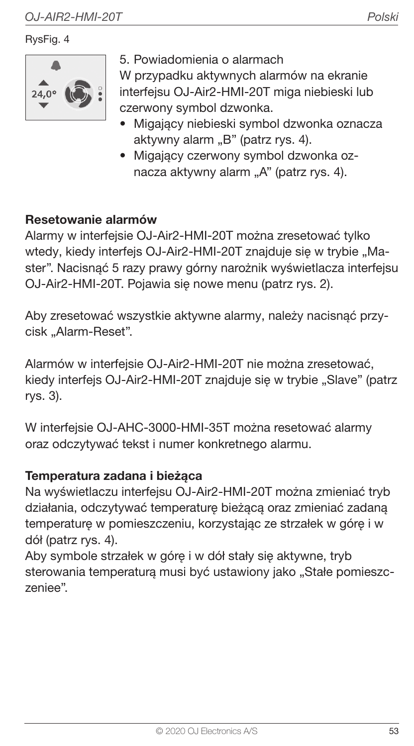#### RysFig. 4



5. Powiadomienia o alarmach

W przypadku aktywnych alarmów na ekranie interfejsu OJ-Air2-HMI-20T miga niebieski lub czerwony symbol dzwonka.

- Migający niebieski symbol dzwonka oznacza aktywny alarm "B" (patrz rys. 4).
- Migający czerwony symbol dzwonka oznacza aktywny alarm "A" (patrz rys. 4).

#### Resetowanie alarmów

Alarmy w interfejsie OJ-Air2-HMI-20T można zresetować tylko wtedy, kiedy interfejs OJ-Air2-HMI-20T znajduje się w trybie "Master". Nacisnąć 5 razy prawy górny narożnik wyświetlacza interfejsu OJ-Air2-HMI-20T. Pojawia się nowe menu (patrz rys. 2).

Aby zresetować wszystkie aktywne alarmy, należy nacisnąć przycisk "Alarm-Reset".

Alarmów w interfejsie OJ-Air2-HMI-20T nie można zresetować, kiedy interfejs OJ-Air2-HMI-20T znajduje się w trybie "Slave" (patrz rys. 3).

W interfejsie OJ-AHC-3000-HMI-35T można resetować alarmy oraz odczytywać tekst i numer konkretnego alarmu.

#### Temperatura zadana i bieżąca

Na wyświetlaczu interfejsu OJ-Air2-HMI-20T można zmieniać tryb działania, odczytywać temperaturę bieżącą oraz zmieniać zadaną temperaturę w pomieszczeniu, korzystając ze strzałek w górę i w dół (patrz rys. 4).

Aby symbole strzałek w górę i w dół stały się aktywne, tryb sterowania temperaturą musi być ustawiony jako "Stałe pomieszczeniee".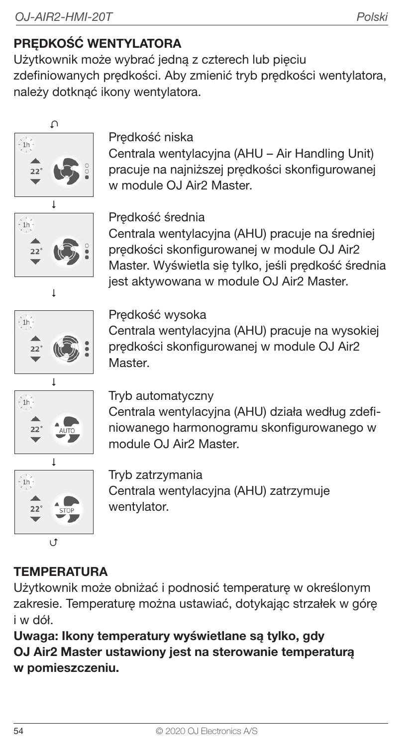## PRĘDKOŚĆ WENTYLATORA

Użytkownik może wybrać jedną z czterech lub pięciu zdefiniowanych prędkości. Aby zmienić tryb prędkości wentylatora, należy dotknąć ikony wentylatora.



### Prędkość niska

Centrala wentylacyjna (AHU – Air Handling Unit) pracuje na najniższej prędkości skonfigurowanej w module OJ Air2 Master.



Ï

Prędkość średnia

Centrala wentylacyjna (AHU) pracuje na średniej prędkości skonfigurowanej w module OJ Air2 Master. Wyświetla się tylko, jeśli prędkość średnia jest aktywowana w module OJ Air2 Master.



#### Predkość wysoka

Centrala wentylacyjna (AHU) pracuje na wysokiej prędkości skonfigurowanej w module OJ Air2 Master.



#### Tryb automatyczny

Centrala wentylacyjna (AHU) działa według zdefiniowanego harmonogramu skonfigurowanego w module OJ Air2 Master



Tryb zatrzymania Centrala wentylacyjna (AHU) zatrzymuje wentylator.

## **TEMPERATURA**

Użytkownik może obniżać i podnosić temperaturę w określonym zakresie. Temperaturę można ustawiać, dotykając strzałek w górę i w dół.

Uwaga: Ikony temperatury wyświetlane są tylko, gdy OJ Air2 Master ustawiony jest na sterowanie temperaturą w pomieszczeniu.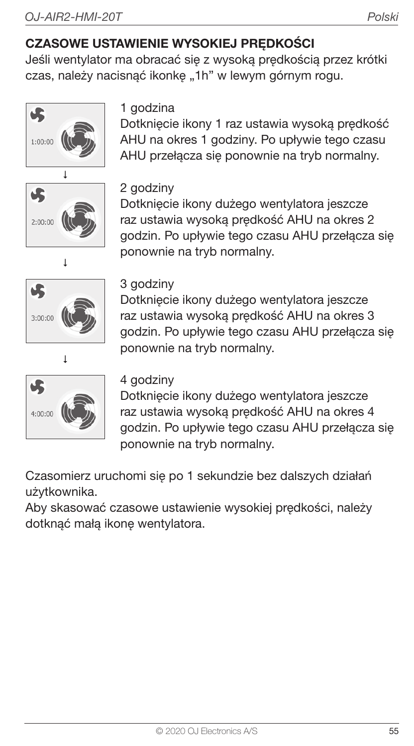## CZASOWE USTAWIENIE WYSOKIEJ PRĘDKOŚCI

Jeśli wentylator ma obracać się z wysoką prędkością przez krótki czas, należy nacisnąć ikonkę "1h" w lewym górnym rogu.









### 1 godzina

Dotknięcie ikony 1 raz ustawia wysoką prędkość AHU na okres 1 godziny. Po upływie tego czasu AHU przełącza się ponownie na tryb normalny.

#### 2 godziny

Dotknięcie ikony dużego wentylatora jeszcze raz ustawia wysoką prędkość AHU na okres 2 godzin. Po upływie tego czasu AHU przełącza się ponownie na tryb normalny.

#### 3 godziny

Dotknięcie ikony dużego wentylatora jeszcze raz ustawia wysoką prędkość AHU na okres 3 godzin. Po upływie tego czasu AHU przełącza się ponownie na tryb normalny.

#### 4 godziny

Dotknięcie ikony dużego wentylatora jeszcze raz ustawia wysoką prędkość AHU na okres 4 godzin. Po upływie tego czasu AHU przełącza się ponownie na tryb normalny.

Czasomierz uruchomi się po 1 sekundzie bez dalszych działań użytkownika.

Aby skasować czasowe ustawienie wysokiej prędkości, należy dotknąć małą ikonę wentylatora.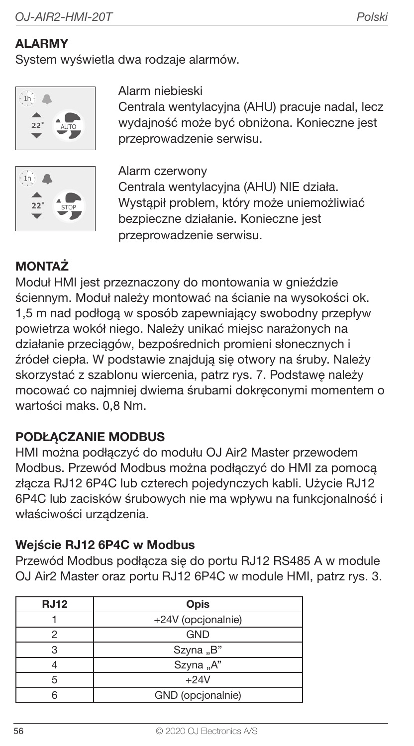## **ALARMY**

System wyświetla dwa rodzaje alarmów.





#### Alarm niebieski

Centrala wentylacyina (AHU) pracuje nadal, lecz wydajność może być obniżona. Konieczne jest przeprowadzenie serwisu.

Alarm czerwony Centrala wentylacyjna (AHU) NIE działa. Wystąpił problem, który może uniemożliwiać bezpieczne działanie. Konieczne jest przeprowadzenie serwisu.

## **MONTAŻ**

Moduł HMI jest przeznaczony do montowania w gnieździe ściennym. Moduł należy montować na ścianie na wysokości ok. 1,5 m nad podłogą w sposób zapewniający swobodny przepływ powietrza wokół niego. Należy unikać miejsc narażonych na działanie przeciągów, bezpośrednich promieni słonecznych i źródeł ciepła. W podstawie znajdują się otwory na śruby. Należy skorzystać z szablonu wiercenia, patrz rys. 7. Podstawę należy mocować co najmniej dwiema śrubami dokręconymi momentem o wartości maks. 0,8 Nm.

#### PODŁACZANIE MODBUS

HMI można podłączyć do modułu OJ Air2 Master przewodem Modbus. Przewód Modbus można podłączyć do HMI za pomocą złącza RJ12 6P4C lub czterech pojedynczych kabli. Użycie RJ12 6P4C lub zacisków śrubowych nie ma wpływu na funkcjonalność i właściwości urządzenia.

#### Wejście RJ12 6P4C w Modbus

Przewód Modbus podłącza się do portu RJ12 RS485 A w module OJ Air2 Master oraz portu RJ12 6P4C w module HMI, patrz rys. 3.

| <b>RJ12</b> | Opis               |  |
|-------------|--------------------|--|
|             | +24V (opcjonalnie) |  |
|             | <b>GND</b>         |  |
| з           | Szyna "B"          |  |
|             | Szyna "A"          |  |
| 5           | $+24V$             |  |
|             | GND (opcjonalnie)  |  |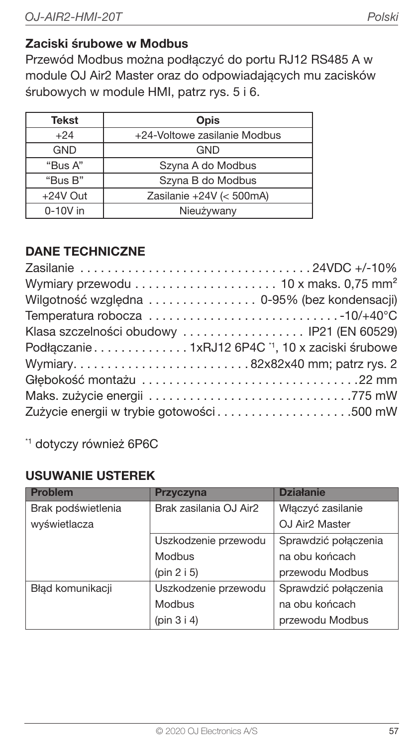#### Zaciski śrubowe w Modbus

Przewód Modbus można podłączyć do portu RJ12 RS485 A w module OJ Air2 Master oraz do odpowiadających mu zacisków śrubowych w module HMI, patrz rys. 5 i 6.

| <b>Tekst</b> | Opis                         |  |
|--------------|------------------------------|--|
| $+24$        | +24-Voltowe zasilanie Modbus |  |
| <b>GND</b>   | <b>GND</b>                   |  |
| "Bus A"      | Szyna A do Modbus            |  |
| "Bus B"      | Szyna B do Modbus            |  |
| +24V Out     | Zasilanie +24V (< $500mA$ )  |  |
| $0-10V$ in   | Nieużywany                   |  |

#### DANE TECHNICZNE

| Wymiary przewodu $\ldots \ldots \ldots \ldots \ldots \ldots$ 10 x maks. 0,75 mm <sup>2</sup>                 |  |
|--------------------------------------------------------------------------------------------------------------|--|
| Wilgotność względna  0-95% (bez kondensacji)                                                                 |  |
| Temperatura robocza $\ldots \ldots \ldots \ldots \ldots \ldots \ldots \ldots \ldots \ldots \ldots$ -10/+40°C |  |
| Klasa szczelności obudowy  IP21 (EN 60529)                                                                   |  |
| Podłączanie 1xRJ12 6P4C <sup>1</sup> , 10 x zaciski śrubowe                                                  |  |
| Wymiary82x82x40 mm; patrz rys. 2                                                                             |  |
|                                                                                                              |  |
|                                                                                                              |  |
|                                                                                                              |  |

\*1 dotyczy również 6P6C

#### USUWANIE USTEREK

| <b>Problem</b>     | Przyczyna              | <b>Działanie</b>           |
|--------------------|------------------------|----------------------------|
| Brak podświetlenia | Brak zasilania OJ Air2 | Właczyć zasilanie          |
| wyświetlacza       |                        | OJ Air <sub>2</sub> Master |
|                    | Uszkodzenie przewodu   | Sprawdzić połączenia       |
|                    | Modbus                 | na obu końcach             |
|                    | (pin 2 i 5)            | przewodu Modbus            |
| Bład komunikacji   | Uszkodzenie przewodu   | Sprawdzić połączenia       |
|                    | Modbus                 | na obu końcach             |
|                    | (pin $3 i 4$ )         | przewodu Modbus            |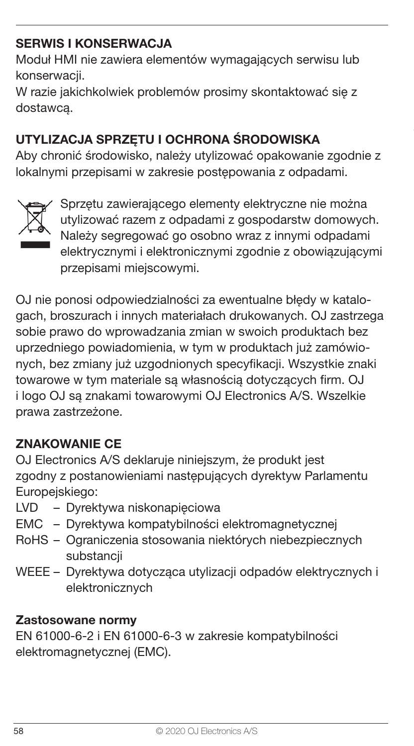## SERWIS I KONSERWACJA

Moduł HMI nie zawiera elementów wymagających serwisu lub konserwacji.

W razie jakichkolwiek problemów prosimy skontaktować się z dostawcą.

## UTYLIZACJA SPRZĘTU I OCHRONA ŚRODOWISKA

Aby chronić środowisko, należy utylizować opakowanie zgodnie z lokalnymi przepisami w zakresie postępowania z odpadami.



Sprzętu zawierającego elementy elektryczne nie można utylizować razem z odpadami z gospodarstw domowych. Należy segregować go osobno wraz z innymi odpadami elektrycznymi i elektronicznymi zgodnie z obowiązującymi przepisami miejscowymi.

OJ nie ponosi odpowiedzialności za ewentualne błędy w katalogach, broszurach i innych materiałach drukowanych. OJ zastrzega sobie prawo do wprowadzania zmian w swoich produktach bez uprzedniego powiadomienia, w tym w produktach już zamówionych, bez zmiany już uzgodnionych specyfikacji. Wszystkie znaki towarowe w tym materiale są własnością dotyczących firm. OJ i logo OJ są znakami towarowymi OJ Electronics A/S. Wszelkie prawa zastrzeżone.

#### ZNAKOWANIE CE

OJ Electronics A/S deklaruje niniejszym, że produkt jest zgodny z postanowieniami następujących dyrektyw Parlamentu Europejskiego:

- LVD Dyrektywa niskonapięciowa
- EMC Dyrektywa kompatybilności elektromagnetycznej
- RoHS Ograniczenia stosowania niektórych niebezpiecznych substancii
- WEEE Dyrektywa dotycząca utylizacji odpadów elektrycznych i elektronicznych

#### Zastosowane normy

EN 61000-6-2 i EN 61000-6-3 w zakresie kompatybilności elektromagnetycznej (EMC).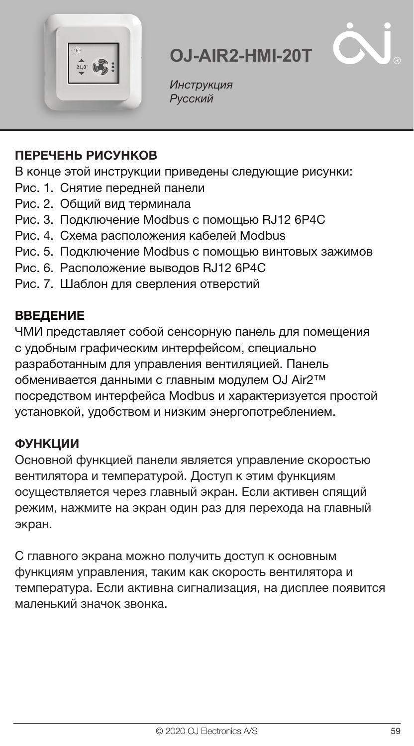



Инструкция Русский

#### ПЕРЕЧЕНЬ РИСУНКОВ

В конце этой инструкции приведены следующие рисунки:

- Рис. 1. Снятие передней панели
- Рис. 2. Общий вид терминала
- Рис. 3. Подключение Modbus с помощью RJ12 6P4C
- Рис. 4. Схема расположения кабелей Modbus
- Рис. 5. Подключение Modbus с помощью винтовых зажимов
- Рис. 6. Расположение выводов RJ12 6P4C
- Рис. 7. Шаблон для сверления отверстий

#### ВВЕДЕНИЕ

ЧМИ представляет собой сенсорную панель для помещения с удобным графическим интерфейсом, специально разработанным для управления вентиляцией. Панель обменивается данными с главным модулем OJ Air2™ посредством интерфейса Modbus и характеризуется простой установкой, удобством и низким энергопотреблением.

#### **ФУНКЦИИ**

Основной функцией панели является управление скоростью вентилятора и температурой. Доступ к этим функциям осуществляется через главный экран. Если активен спящий режим, нажмите на экран один раз для перехода на главный экран.

С главного экрана можно получить доступ к основным функциям управления, таким как скорость вентилятора и температура. Если активна сигнализация, на дисплее появится маленький значок звонка.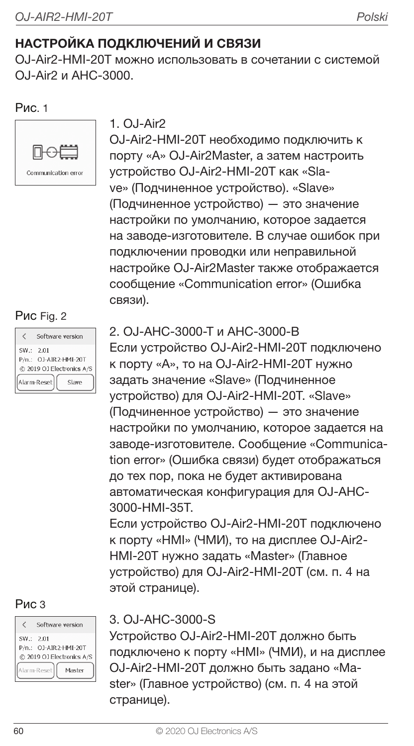## НАСТРОЙКА ПОДКЛЮЧЕНИЙ И СВЯЗИ

OJ-Air2-HMI-20T можно использовать в сочетании с системой O.I-Air2 и AHC-3000

#### Рис. 1



# $1.0.1-Air2$

OJ-Air2-HMI-20T необходимо подключить к порту «A» OJ-Air2Master, а затем настроить устройство OJ-Air2-HMI-20T как «Slave» (Подчиненное устройство). «Slave» (Подчиненное устройство) — это значение настройки по умолчанию, которое задается на заводе-изготовителе. В случае ошибок при подключении проводки или неправильной настройке OJ-Air2Master также отображается сообщение «Communication error» (Ошибка связи).

#### Рис Fig. 2

|                           | Software version      |  |
|---------------------------|-----------------------|--|
| SW .: 2.01                | P/n.: OJ-AIR2-HMI-20T |  |
| @ 2019 OJ Electronics A/S |                       |  |
| Alarm-Reset<br>Slave      |                       |  |

#### Рис 3

|                           | Software version |  |
|---------------------------|------------------|--|
| SW: 2.01                  |                  |  |
| $P/n$ .:                  | OJ-AIR2-HMI-20T  |  |
| @ 2019 OJ Electronics A/S |                  |  |
| Alarm-Reset<br>Masher     |                  |  |

### 2. OJ-AHC-3000-T и AHC-3000-B

Если устройство OJ-Air2-HMI-20T подключено к порту «A», то на OJ-Air2-HMI-20T нужно задать значение «Slave» (Подчиненное устройство) для OJ-Air2-HMI-20T. «Slave» (Подчиненное устройство) — это значение настройки по умолчанию, которое задается на заводе-изготовителе. Сообщение «Communication error» (Ошибка связи) будет отображаться до тех пор, пока не будет активирована автоматическая конфигурация для OJ-AHC-3000-HMI-35T.

Если устройство OJ-Air2-HMI-20T подключено к порту «HMI» (ЧМИ), то на дисплее OJ-Air2- HMI-20T нужно задать «Master» (Главное устройство) для OJ-Air2-HMI-20T (см. п. 4 на этой странице).

#### 3. OJ-AHC-3000-S

Устройство OJ-Air2-HMI-20T должно быть подключено к порту «HMI» (ЧМИ), и на дисплее OJ-Air2-HMI-20T должно быть задано «Master» (Главное устройство) (см. п. 4 на этой странице).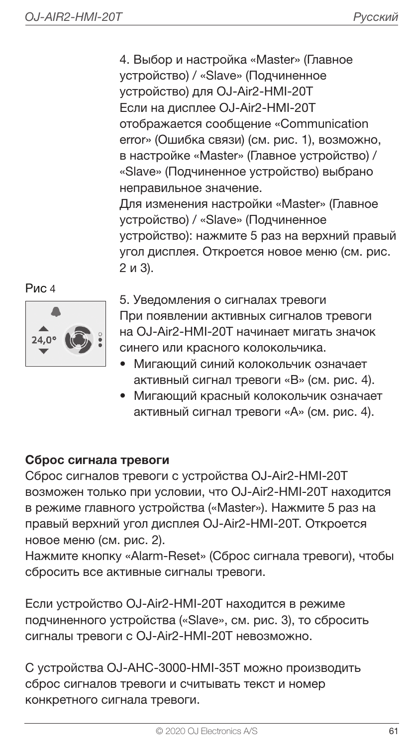4. Выбор и настройка «Master» (Главное устройство) / «Slave» (Подчиненное устройство) для OJ-Air2-HMI-20T Если на дисплее OJ-Air2-HMI-20T отображается сообщение «Communication error» (Ошибка связи) (см. рис. 1), возможно, в настройке «Master» (Главное устройство) / «Slave» (Подчиненное устройство) выбрано неправильное значение. Для изменения настройки «Master» (Главное устройство) / «Slave» (Подчиненное устройство): нажмите 5 раз на верхний правый угол дисплея. Откроется новое меню (см. рис. 2 и 3).





5. Уведомления о сигналах тревоги При появлении активных сигналов тревоги на OJ-Air2-HMI-20T начинает мигать значок синего или красного колокольчика.

- Мигающий синий колокольчик означает активный сигнал тревоги «B» (см. рис. 4).
- Мигающий красный колокольчик означает активный сигнал тревоги «A» (см. рис. 4).

#### Сброс сигнала тревоги

Сброс сигналов тревоги с устройства OJ-Air2-HMI-20T возможен только при условии, что OJ-Air2-HMI-20T находится в режиме главного устройства («Master»). Нажмите 5 раз на правый верхний угол дисплея OJ-Air2-HMI-20T. Откроется новое меню (см. рис. 2).

Нажмите кнопку «Alarm-Reset» (Сброс сигнала тревоги), чтобы сбросить все активные сигналы тревоги.

Если устройство OJ-Air2-HMI-20T находится в режиме подчиненного устройства («Slave», см. рис. 3), то сбросить сигналы тревоги с OJ-Air2-HMI-20T невозможно.

С устройства OJ-AHC-3000-HMI-35T можно производить сброс сигналов тревоги и считывать текст и номер конкретного сигнала тревоги.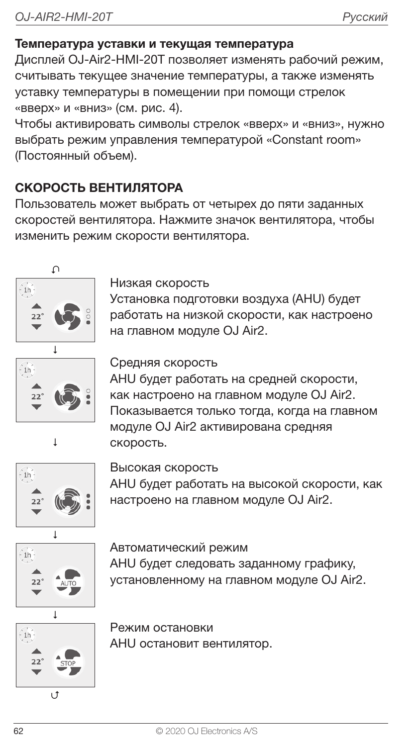#### Температура уставки и текущая температура

Дисплей OJ-Air2-HMI-20T позволяет изменять рабочий режим, считывать текущее значение температуры, а также изменять уставку температуры в помещении при помощи стрелок «вверх» и «вниз» (см. рис. 4).

Чтобы активировать символы стрелок «вверх» и «вниз», нужно выбрать режим управления температурой «Constant room» (Постоянный объем).

### СКОРОСТЬ ВЕНТИЛЯТОРА

Пользователь может выбрать от четырех до пяти заданных скоростей вентилятора. Нажмите значок вентилятора, чтобы изменить режим скорости вентилятора.



Низкая скорость

Установка подготовки воздуха (AHU) будет работать на низкой скорости, как настроено на главном модуле OJ Air2.



#### Средняя скорость

AHU будет работать на средней скорости, как настроено на главном модуле OJ Air2. Показывается только тогда, когда на главном модуле OJ Air2 активирована средняя скорость.



Высокая скорость

AHU будет работать на высокой скорости, как настроено на главном модуле OJ Air2.



Автоматический режим AHU будет следовать заданному графику, установленному на главном модуле OJ Air2.



U

Режим остановки AHU остановит вентилятор.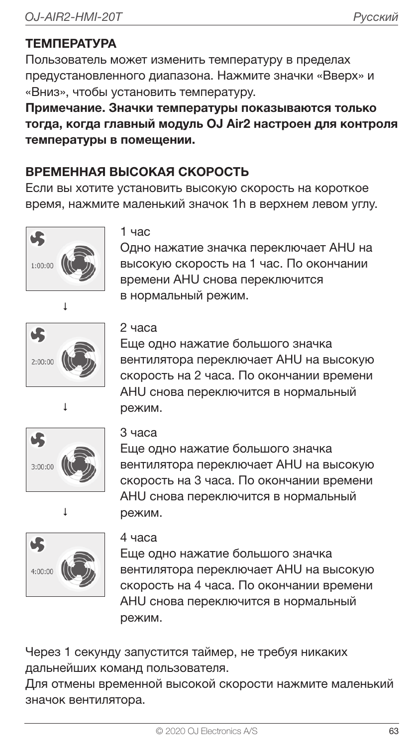## ТЕМПЕРАТУРА

Пользователь может изменить температуру в пределах предустановленного диапазона. Нажмите значки «Вверх» и «Вниз», чтобы установить температуру.

Примечание. Значки температуры показываются только тогда, когда главный модуль OJ Air2 настроен для контроля температуры в помещении.

## ВРЕМЕННАЯ ВЫСОКАЯ СКОРОСТЬ

Если вы хотите установить высокую скорость на короткое время, нажмите маленький значок 1h в верхнем левом углу.





#### 1 час

Одно нажатие значка переключает AHU на высокую скорость на 1 час. По окончании времени AHU снова переключится **в нормальный режим.** 

#### 2 часа

Еще одно нажатие большого значка вентилятора переключает AHU на высокую скорость на 2 часа. По окончании времени AHU снова переключится в нормальный режим.





## 3 часа

Еще одно нажатие большого значка вентилятора переключает AHU на высокую скорость на 3 часа. По окончании времени AHU снова переключится в нормальный режим.



#### 4 часа

Еще одно нажатие большого значка вентилятора переключает AHU на высокую скорость на 4 часа. По окончании времени AHU снова переключится в нормальный режим.

Через 1 секунду запустится таймер, не требуя никаких дальнейших команд пользователя.

Для отмены временной высокой скорости нажмите маленький значок вентилятора.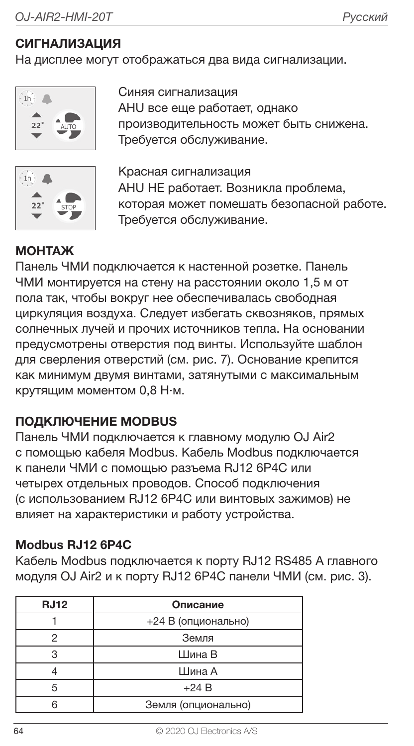## СИГНАЛИЗАЦИЯ

На дисплее могут отображаться два вида сигнализации.



Синяя сигнализация AHU все еще работает, однако производительность может быть снижена. Требуется обслуживание.



Красная сигнализация AHU НЕ работает. Возникла проблема, которая может помешать безопасной работе. Требуется обслуживание.

#### МОНТАЖ

Панель ЧМИ подключается к настенной розетке. Панель ЧМИ монтируется на стену на расстоянии около 1,5 м от пола так, чтобы вокруг нее обеспечивалась свободная циркуляция воздуха. Следует избегать сквозняков, прямых солнечных лучей и прочих источников тепла. На основании предусмотрены отверстия под винты. Используйте шаблон для сверления отверстий (см. рис. 7). Основание крепится как минимум двумя винтами, затянутыми с максимальным крутящим моментом 0,8 Н·м.

#### ПОДКЛЮЧЕНИЕ MODBUS

Панель ЧМИ подключается к главному модулю OJ Air2 с помощью кабеля Modbus. Кабель Modbus подключается к панели ЧМИ с помощью разъема RJ12 6P4C или четырех отдельных проводов. Способ подключения (с использованием RJ12 6P4C или винтовых зажимов) не влияет на характеристики и работу устройства.

#### Modbus RJ12 6P4C

Кабель Modbus подключается к порту RJ12 RS485 A главного модуля OJ Air2 и к порту RJ12 6P4C панели ЧМИ (см. рис. 3).

| <b>RJ12</b> | Описание            |  |
|-------------|---------------------|--|
|             | +24 В (опционально) |  |
|             | Земля               |  |
|             | Шина В              |  |
|             | Шина А              |  |
| 5           | $+24B$              |  |
|             | Земля (опционально) |  |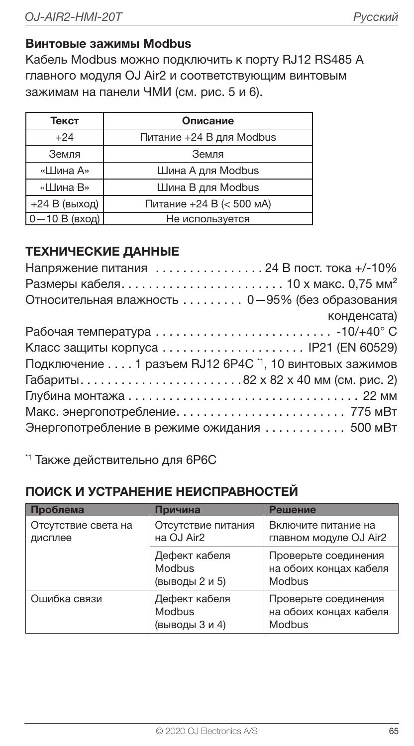#### Винтовые зажимы Modbus

Кабель Modbus можно подключить к порту RJ12 RS485 A главного модуля OJ Air2 и соответствующим винтовым зажимам на панели ЧМИ (см. рис. 5 и 6).

| Текст             | Описание                 |  |
|-------------------|--------------------------|--|
| $+24$             | Питание +24 В для Modbus |  |
| Земля             | Земля                    |  |
| «Шина А»          | Шина A для Modbus        |  |
| «Шина В»          | Шина В для Modbus        |  |
| +24 В (выход)     | Питание +24 В (< 500 мА) |  |
| $0 - 10 B$ (вход) | Не используется          |  |

## ТЕХНИЧЕСКИЕ ДАННЫЕ

| Напряжение питания  24 В пост. тока +/-10%                        |
|-------------------------------------------------------------------|
| Размеры кабеля 10 х макс. 0,75 мм <sup>2</sup>                    |
| Относительная влажность 0-95% (без образования                    |
| конденсата)                                                       |
|                                                                   |
|                                                                   |
| Подключение 1 разъем RJ12 6P4C <sup>1</sup> , 10 винтовых зажимов |
| Габариты82 x 82 x 40 мм (см. рис. 2)                              |
|                                                                   |
|                                                                   |
| Энергопотребление в режиме ожидания  500 мВт                      |

\*1 Также действительно для 6P6C

## ПОИСК И УСТРАНЕНИЕ НЕИСПРАВНОСТЕЙ

| Проблема                       | Причина                                   | Решение                                                  |
|--------------------------------|-------------------------------------------|----------------------------------------------------------|
| Отсутствие света на<br>дисплее | Отсутствие питания<br>на OJ Air2          | Включите питание на<br>главном модуле OJ Air2            |
|                                | Дефект кабеля<br>Modbus<br>(выводы 2 и 5) | Проверьте соединения<br>на обоих концах кабеля<br>Modbus |
| Ошибка связи                   | Дефект кабеля<br>Modbus<br>(выводы 3 и 4) | Проверьте соединения<br>на обоих концах кабеля<br>Modbus |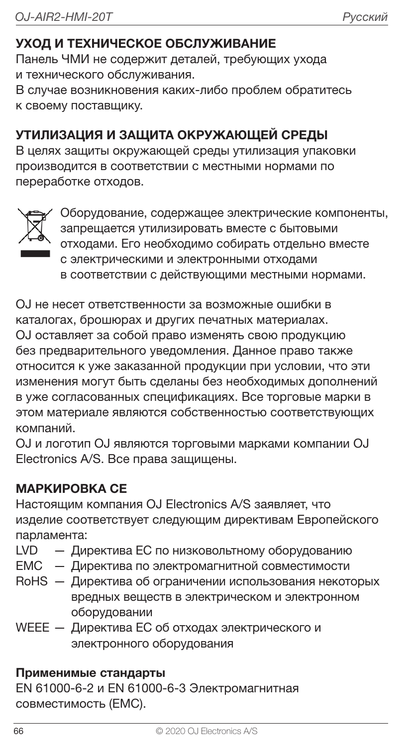## УХОД И ТЕХНИЧЕСКОЕ ОБСЛУЖИВАНИЕ

Панель ЧМИ не содержит деталей, требующих ухода и технического обслуживания.

В случае возникновения каких-либо проблем обратитесь к своему поставщику.

## УТИЛИЗАЦИЯ И ЗАЩИТА ОКРУЖАЮЩЕЙ СРЕДЫ

В целях защиты окружающей среды утилизация упаковки производится в соответствии с местными нормами по переработке отходов.



Оборудование, содержащее электрические компоненты, запрещается утилизировать вместе с бытовыми отходами. Его необходимо собирать отдельно вместе с электрическими и электронными отходами в соответствии с действующими местными нормами.

OJ не несет ответственности за возможные ошибки в каталогах, брошюрах и других печатных материалах. OJ оставляет за собой право изменять свою продукцию без предварительного уведомления. Данное право также относится к уже заказанной продукции при условии, что эти изменения могут быть сделаны без необходимых дополнений в уже согласованных спецификациях. Все торговые марки в этом материале являются собственностью соответствующих компаний.

OJ и логотип OJ являются торговыми марками компании OJ Electronics A/S. Все права защищены.

#### МАРКИРОВКА СЕ

Настоящим компания OJ Electronics A/S заявляет, что изделие соответствует следующим директивам Европейского парламента:

- LVD Директива ЕС по низковольтному оборудованию
- EMC Директива по электромагнитной совместимости
- RoHS Директива об ограничении использования некоторых вредных веществ в электрическом и электронном оборудовании
- WEEE Директива ЕС об отходах электрического и электронного оборудования

#### Применимые стандарты

EN 61000-6-2 и EN 61000-6-3 Электромагнитная совместимость (EMC).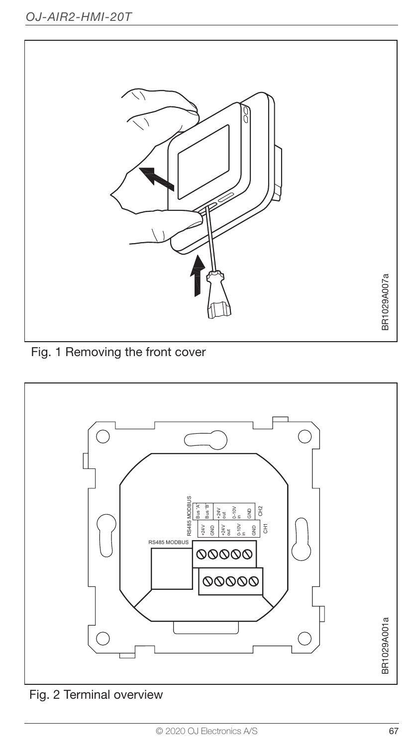

Fig. 1 Removing the front cover



Fig. 2 Terminal overview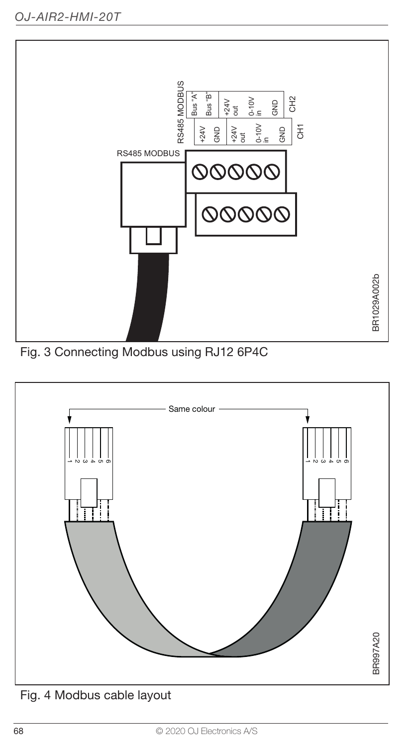

Fig. 3 Connecting Modbus using RJ12 6P4C



Fig. 4 Modbus cable layout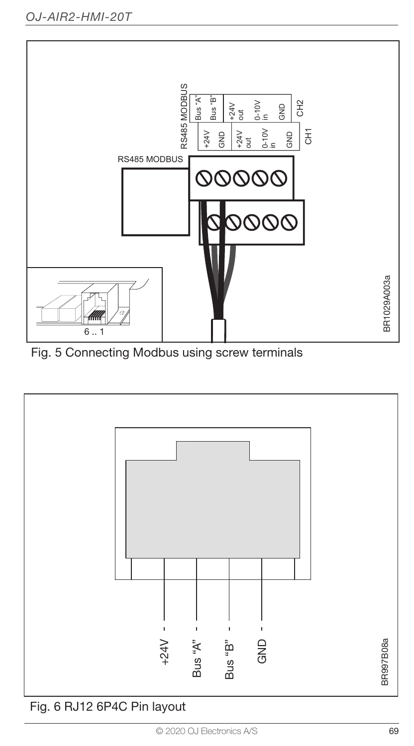

Fig. 5 Connecting Modbus using screw terminals

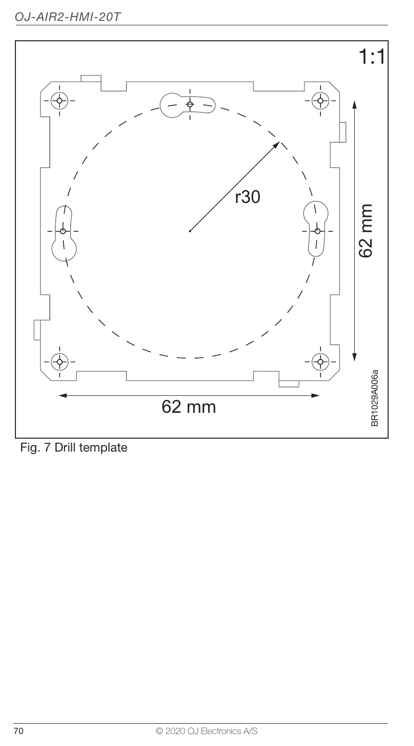

Fig. 7 Drill template